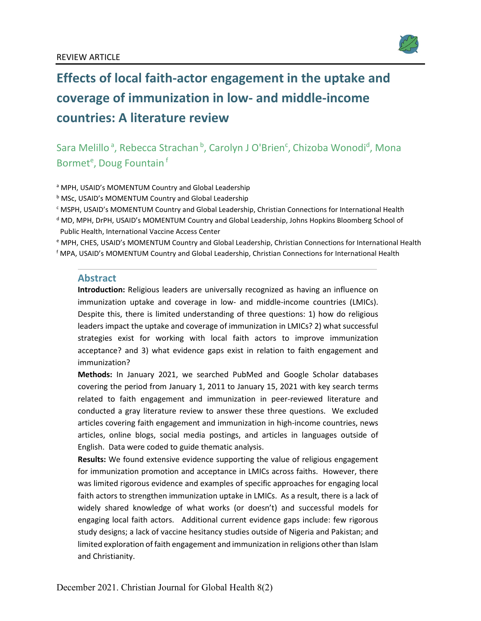

# **Effects of local faith-actor engagement in the uptake and coverage of immunization in low- and middle-income countries: A literature review**

Sara Melillo<sup>a</sup>, Rebecca Strachan <sup>b</sup>, Carolyn J O'Brien<sup>c</sup>, Chizoba Wonodi<sup>d</sup>, Mona Bormet<sup>e</sup>, Doug Fountain<sup>f</sup>

<sup>a</sup> MPH, USAID's MOMENTUM Country and Global Leadership

**b MSc, USAID's MOMENTUM Country and Global Leadership** 

<sup>c</sup> MSPH, USAID's MOMENTUM Country and Global Leadership, Christian Connections for International Health

<sup>d</sup> MD, MPH, DrPH, USAID's MOMENTUM Country and Global Leadership, Johns Hopkins Bloomberg School of Public Health, International Vaccine Access Center

<sup>e</sup> MPH, CHES, USAID's MOMENTUM Country and Global Leadership, Christian Connections for International Health f MPA, USAID's MOMENTUM Country and Global Leadership, Christian Connections for International Health

#### **Abstract**

**Introduction:** Religious leaders are universally recognized as having an influence on immunization uptake and coverage in low- and middle-income countries (LMICs). Despite this, there is limited understanding of three questions: 1) how do religious leaders impact the uptake and coverage of immunization in LMICs? 2) what successful strategies exist for working with local faith actors to improve immunization acceptance? and 3) what evidence gaps exist in relation to faith engagement and immunization?

**Methods:** In January 2021, we searched PubMed and Google Scholar databases covering the period from January 1, 2011 to January 15, 2021 with key search terms related to faith engagement and immunization in peer-reviewed literature and conducted a gray literature review to answer these three questions. We excluded articles covering faith engagement and immunization in high-income countries, news articles, online blogs, social media postings, and articles in languages outside of English. Data were coded to guide thematic analysis.

**Results:** We found extensive evidence supporting the value of religious engagement for immunization promotion and acceptance in LMICs across faiths. However, there was limited rigorous evidence and examples of specific approaches for engaging local faith actors to strengthen immunization uptake in LMICs. As a result, there is a lack of widely shared knowledge of what works (or doesn't) and successful models for engaging local faith actors. Additional current evidence gaps include: few rigorous study designs; a lack of vaccine hesitancy studies outside of Nigeria and Pakistan; and limited exploration of faith engagement and immunization in religions other than Islam and Christianity.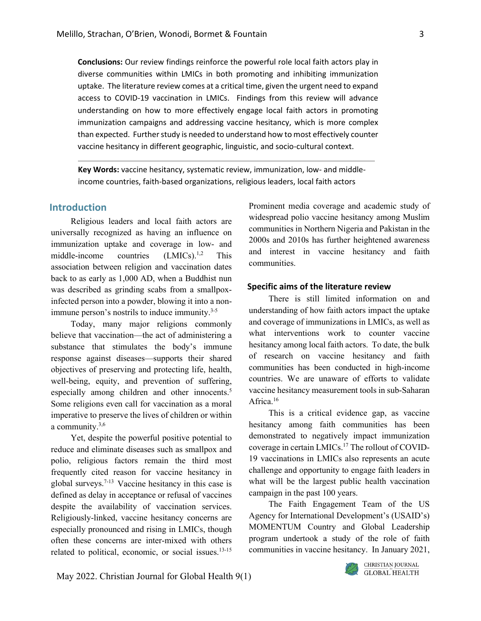**Conclusions:** Our review findings reinforce the powerful role local faith actors play in diverse communities within LMICs in both promoting and inhibiting immunization uptake. The literature review comes at a critical time, given the urgent need to expand access to COVID-19 vaccination in LMICs. Findings from this review will advance understanding on how to more effectively engage local faith actors in promoting immunization campaigns and addressing vaccine hesitancy, which is more complex than expected. Further study is needed to understand how to most effectively counter vaccine hesitancy in different geographic, linguistic, and socio-cultural context.

**Key Words:** vaccine hesitancy, systematic review, immunization, low- and middleincome countries, faith-based organizations, religious leaders, local faith actors

# **Introduction**

Religious leaders and local faith actors are universally recognized as having an influence on immunization uptake and coverage in low- and middle-income countries  $(LMICs)$ <sup>1,2</sup> This association between religion and vaccination dates back to as early as 1,000 AD, when a Buddhist nun was described as grinding scabs from a smallpoxinfected person into a powder, blowing it into a nonimmune person's nostrils to induce immunity.<sup>3-5</sup>

Today, many major religions commonly believe that vaccination—the act of administering a substance that stimulates the body's immune response against diseases—supports their shared objectives of preserving and protecting life, health, well-being, equity, and prevention of suffering, especially among children and other innocents.<sup>5</sup> Some religions even call for vaccination as a moral imperative to preserve the lives of children or within a community.3,6

Yet, despite the powerful positive potential to reduce and eliminate diseases such as smallpox and polio, religious factors remain the third most frequently cited reason for vaccine hesitancy in global surveys.7-13 Vaccine hesitancy in this case is defined as delay in acceptance or refusal of vaccines despite the availability of vaccination services. Religiously-linked, vaccine hesitancy concerns are especially pronounced and rising in LMICs, though often these concerns are inter-mixed with others related to political, economic, or social issues.13-15

Prominent media coverage and academic study of widespread polio vaccine hesitancy among Muslim communities in Northern Nigeria and Pakistan in the 2000s and 2010s has further heightened awareness and interest in vaccine hesitancy and faith communities.

# **Specific aims of the literature review**

There is still limited information on and understanding of how faith actors impact the uptake and coverage of immunizations in LMICs, as well as what interventions work to counter vaccine hesitancy among local faith actors. To date, the bulk of research on vaccine hesitancy and faith communities has been conducted in high-income countries. We are unaware of efforts to validate vaccine hesitancy measurement tools in sub-Saharan Africa.<sup>16</sup>

This is a critical evidence gap, as vaccine hesitancy among faith communities has been demonstrated to negatively impact immunization coverage in certain LMICs.17 The rollout of COVID-19 vaccinations in LMICs also represents an acute challenge and opportunity to engage faith leaders in what will be the largest public health vaccination campaign in the past 100 years.

The Faith Engagement Team of the US Agency for International Development's (USAID's) MOMENTUM Country and Global Leadership program undertook a study of the role of faith communities in vaccine hesitancy. In January 2021,

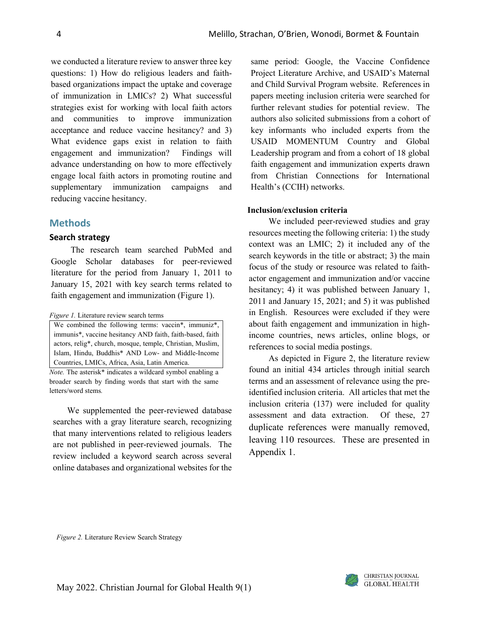we conducted a literature review to answer three key questions: 1) How do religious leaders and faithbased organizations impact the uptake and coverage of immunization in LMICs? 2) What successful strategies exist for working with local faith actors and communities to improve immunization acceptance and reduce vaccine hesitancy? and 3) What evidence gaps exist in relation to faith engagement and immunization? Findings will advance understanding on how to more effectively engage local faith actors in promoting routine and supplementary immunization campaigns and reducing vaccine hesitancy.

# **Methods**

### **Search strategy**

The research team searched PubMed and Google Scholar databases for peer-reviewed literature for the period from January 1, 2011 to January 15, 2021 with key search terms related to faith engagement and immunization (Figure 1).

*Figure 1.* Literature review search terms

We combined the following terms: vaccin<sup>\*</sup>, immuniz<sup>\*</sup>, immunis\*, vaccine hesitancy AND faith, faith-based, faith actors, relig\*, church, mosque, temple, Christian, Muslim, Islam, Hindu, Buddhis\* AND Low- and Middle-Income Countries, LMICs, Africa, Asia, Latin America.

*Note.* The asterisk\* indicates a wildcard symbol enabling a broader search by finding words that start with the same letters/word stems*.*

We supplemented the peer-reviewed database searches with a gray literature search, recognizing that many interventions related to religious leaders are not published in peer-reviewed journals. The review included a keyword search across several online databases and organizational websites for the same period: Google, the Vaccine Confidence Project Literature Archive, and USAID's Maternal and Child Survival Program website. References in papers meeting inclusion criteria were searched for further relevant studies for potential review. The authors also solicited submissions from a cohort of key informants who included experts from the USAID MOMENTUM Country and Global Leadership program and from a cohort of 18 global faith engagement and immunization experts drawn from Christian Connections for International Health's (CCIH) networks.

# **Inclusion/exclusion criteria**

We included peer-reviewed studies and gray resources meeting the following criteria: 1) the study context was an LMIC; 2) it included any of the search keywords in the title or abstract; 3) the main focus of the study or resource was related to faithactor engagement and immunization and/or vaccine hesitancy; 4) it was published between January 1, 2011 and January 15, 2021; and 5) it was published in English. Resources were excluded if they were about faith engagement and immunization in highincome countries, news articles, online blogs, or references to social media postings.

As depicted in Figure 2, the literature review found an initial 434 articles through initial search terms and an assessment of relevance using the preidentified inclusion criteria. All articles that met the inclusion criteria (137) were included for quality assessment and data extraction. Of these, 27 duplicate references were manually removed, leaving 110 resources. These are presented in Appendix 1.

*Figure 2.* Literature Review Search Strategy

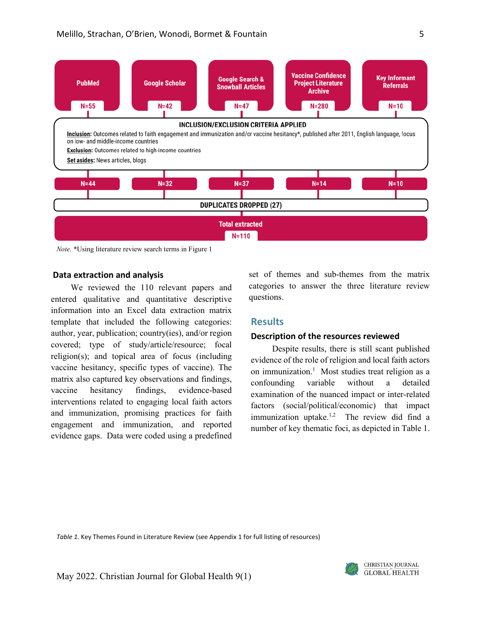

*Note.* \*Using literature review search terms in Figure 1

#### **Data extraction and analysis**

We reviewed the 110 relevant papers and entered qualitative and quantitative descriptive information into an Excel data extraction matrix template that included the following categories: author, year, publication; country(ies), and/or region covered; type of study/article/resource; focal religion(s); and topical area of focus (including vaccine hesitancy, specific types of vaccine). The matrix also captured key observations and findings, vaccine hesitancy findings, evidence-based interventions related to engaging local faith actors and immunization, promising practices for faith engagement and immunization, and reported evidence gaps. Data were coded using a predefined

set of themes and sub-themes from the matrix categories to answer the three literature review questions.

# **Results**

#### **Description of the resources reviewed**

Despite results, there is still scant published evidence of the role of religion and local faith actors on immunization.<sup>1</sup> Most studies treat religion as a confounding variable without a detailed examination of the nuanced impact or inter-related factors (social/political/economic) that impact immunization uptake.<sup>1,2</sup> The review did find a number of key thematic foci, as depicted in Table 1.

*Table 1.* Key Themes Found in Literature Review (see Appendix 1 for full listing of resources)

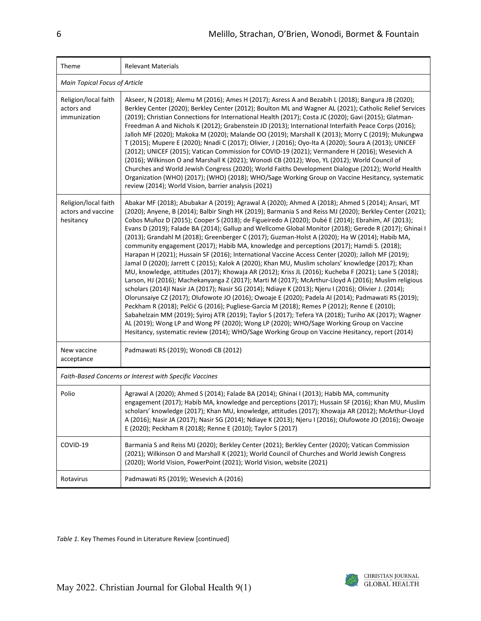| Theme                                                   | <b>Relevant Materials</b>                                                                                                                                                                                                                                                                                                                                                                                                                                                                                                                                                                                                                                                                                                                                                                                                                                                                                                                                                                                                                                                                                                                                                                                                                                                                                                                                                                                                                                                                                                                                                                                                                                                         |  |  |  |  |  |  |  |
|---------------------------------------------------------|-----------------------------------------------------------------------------------------------------------------------------------------------------------------------------------------------------------------------------------------------------------------------------------------------------------------------------------------------------------------------------------------------------------------------------------------------------------------------------------------------------------------------------------------------------------------------------------------------------------------------------------------------------------------------------------------------------------------------------------------------------------------------------------------------------------------------------------------------------------------------------------------------------------------------------------------------------------------------------------------------------------------------------------------------------------------------------------------------------------------------------------------------------------------------------------------------------------------------------------------------------------------------------------------------------------------------------------------------------------------------------------------------------------------------------------------------------------------------------------------------------------------------------------------------------------------------------------------------------------------------------------------------------------------------------------|--|--|--|--|--|--|--|
|                                                         | Main Topical Focus of Article                                                                                                                                                                                                                                                                                                                                                                                                                                                                                                                                                                                                                                                                                                                                                                                                                                                                                                                                                                                                                                                                                                                                                                                                                                                                                                                                                                                                                                                                                                                                                                                                                                                     |  |  |  |  |  |  |  |
| Religion/local faith<br>actors and<br>immunization      | Akseer, N (2018); Alemu M (2016); Ames H (2017); Asress A and Bezabih L (2018); Bangura JB (2020);<br>Berkley Center (2020); Berkley Center (2012); Boulton ML and Wagner AL (2021); Catholic Relief Services<br>(2019); Christian Connections for International Health (2017); Costa JC (2020); Gavi (2015); Glatman-<br>Freedman A and Nichols K (2012); Grabenstein JD (2013); International Interfaith Peace Corps (2016);<br>Jalloh MF (2020); Makoka M (2020); Malande OO (2019); Marshall K (2013); Morry C (2019); Mukungwa<br>T (2015); Mupere E (2020); Nnadi C (2017); Olivier, J (2016); Oyo-Ita A (2020); Soura A (2013); UNICEF<br>(2012); UNICEF (2015); Vatican Commission for COVID-19 (2021); Vermandere H (2016); Wesevich A<br>(2016); Wilkinson O and Marshall K (2021); Wonodi CB (2012); Woo, YL (2012); World Council of<br>Churches and World Jewish Congress (2020); World Faiths Development Dialogue (2012); World Health<br>Organization (WHO) (2017); (WHO) (2018); WHO/Sage Working Group on Vaccine Hesitancy, systematic<br>review (2014); World Vision, barrier analysis (2021)                                                                                                                                                                                                                                                                                                                                                                                                                                                                                                                                                                 |  |  |  |  |  |  |  |
| Religion/local faith<br>actors and vaccine<br>hesitancy | Abakar MF (2018); Abubakar A (2019); Agrawal A (2020); Ahmed A (2018); Ahmed S (2014); Ansari, MT<br>(2020); Anyene, B (2014); Balbir Singh HK (2019); Barmania S and Reiss MJ (2020); Berkley Center (2021);<br>Cobos Muñoz D (2015); Cooper S (2018); de Figueiredo A (2020); Dubé E (2014); Ebrahim, AF (2013);<br>Evans D (2019); Falade BA (2014); Gallup and Wellcome Global Monitor (2018); Gerede R (2017); Ghinai I<br>(2013); Grandahl M (2018); Greenberger C (2017); Guzman-Holst A (2020); Ha W (2014); Habib MA,<br>community engagement (2017); Habib MA, knowledge and perceptions (2017); Hamdi S. (2018);<br>Harapan H (2021); Hussain SF (2016); International Vaccine Access Center (2020); Jalloh MF (2019);<br>Jamal D (2020); Jarrett C (2015); Kalok A (2020); Khan MU, Muslim scholars' knowledge (2017); Khan<br>MU, knowledge, attitudes (2017); Khowaja AR (2012); Kriss JL (2016); Kucheba F (2021); Lane S (2018);<br>Larson, HJ (2016); Machekanyanga Z (2017); Marti M (2017); McArthur-Lloyd A (2016); Muslim religious<br>scholars (2014)  Nasir JA (2017); Nasir SG (2014); Ndiaye K (2013); Njeru I (2016); Olivier J. (2014);<br>Olorunsaiye CZ (2017); Olufowote JO (2016); Owoaje E (2020); Padela AI (2014); Padmawati RS (2019);<br>Peckham R (2018); Pelčić G (2016); Pugliese-Garcia M (2018); Remes P (2012); Renne E (2010);<br>Sabahelzain MM (2019); Syiroj ATR (2019); Taylor S (2017); Tefera YA (2018); Turiho AK (2017); Wagner<br>AL (2019); Wong LP and Wong PF (2020); Wong LP (2020); WHO/Sage Working Group on Vaccine<br>Hesitancy, systematic review (2014); WHO/Sage Working Group on Vaccine Hesitancy, report (2014) |  |  |  |  |  |  |  |
| New vaccine<br>acceptance                               | Padmawati RS (2019); Wonodi CB (2012)                                                                                                                                                                                                                                                                                                                                                                                                                                                                                                                                                                                                                                                                                                                                                                                                                                                                                                                                                                                                                                                                                                                                                                                                                                                                                                                                                                                                                                                                                                                                                                                                                                             |  |  |  |  |  |  |  |
|                                                         | Faith-Based Concerns or Interest with Specific Vaccines                                                                                                                                                                                                                                                                                                                                                                                                                                                                                                                                                                                                                                                                                                                                                                                                                                                                                                                                                                                                                                                                                                                                                                                                                                                                                                                                                                                                                                                                                                                                                                                                                           |  |  |  |  |  |  |  |
| Polio                                                   | Agrawal A (2020); Ahmed S (2014); Falade BA (2014); Ghinai I (2013); Habib MA, community<br>engagement (2017); Habib MA, knowledge and perceptions (2017); Hussain SF (2016); Khan MU, Muslim<br>scholars' knowledge (2017); Khan MU, knowledge, attitudes (2017); Khowaja AR (2012); McArthur-Lloyd<br>A (2016); Nasir JA (2017); Nasir SG (2014); Ndiaye K (2013); Njeru I (2016); Olufowote JO (2016); Owoaje<br>E (2020); Peckham R (2018); Renne E (2010); Taylor S (2017)                                                                                                                                                                                                                                                                                                                                                                                                                                                                                                                                                                                                                                                                                                                                                                                                                                                                                                                                                                                                                                                                                                                                                                                                   |  |  |  |  |  |  |  |
| COVID-19                                                | Barmania S and Reiss MJ (2020); Berkley Center (2021); Berkley Center (2020); Vatican Commission<br>(2021); Wilkinson O and Marshall K (2021); World Council of Churches and World Jewish Congress<br>(2020); World Vision, PowerPoint (2021); World Vision, website (2021)                                                                                                                                                                                                                                                                                                                                                                                                                                                                                                                                                                                                                                                                                                                                                                                                                                                                                                                                                                                                                                                                                                                                                                                                                                                                                                                                                                                                       |  |  |  |  |  |  |  |
| Rotavirus                                               | Padmawati RS (2019); Wesevich A (2016)                                                                                                                                                                                                                                                                                                                                                                                                                                                                                                                                                                                                                                                                                                                                                                                                                                                                                                                                                                                                                                                                                                                                                                                                                                                                                                                                                                                                                                                                                                                                                                                                                                            |  |  |  |  |  |  |  |

*Table 1.* Key Themes Found in Literature Review [continued]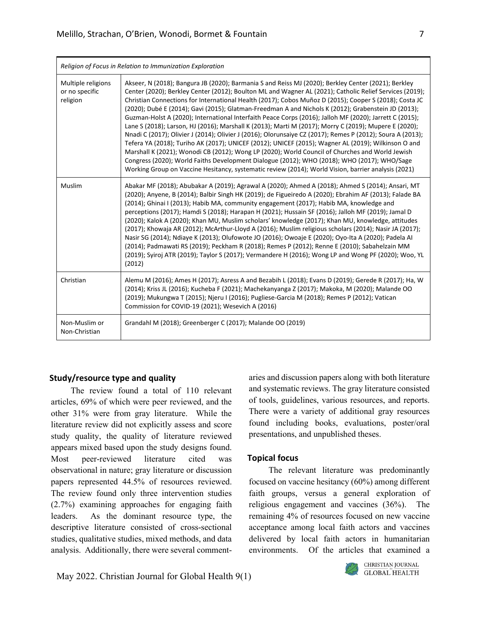|                                                  | Religion of Focus in Relation to Immunization Exploration                                                                                                                                                                                                                                                                                                                                                                                                                                                                                                                                                                                                                                                                                                                                                                                                                                                                                                                                                                                                                                                                                                                         |  |  |  |  |  |  |
|--------------------------------------------------|-----------------------------------------------------------------------------------------------------------------------------------------------------------------------------------------------------------------------------------------------------------------------------------------------------------------------------------------------------------------------------------------------------------------------------------------------------------------------------------------------------------------------------------------------------------------------------------------------------------------------------------------------------------------------------------------------------------------------------------------------------------------------------------------------------------------------------------------------------------------------------------------------------------------------------------------------------------------------------------------------------------------------------------------------------------------------------------------------------------------------------------------------------------------------------------|--|--|--|--|--|--|
| Multiple religions<br>or no specific<br>religion | Akseer, N (2018); Bangura JB (2020); Barmania S and Reiss MJ (2020); Berkley Center (2021); Berkley<br>Center (2020); Berkley Center (2012); Boulton ML and Wagner AL (2021); Catholic Relief Services (2019);<br>Christian Connections for International Health (2017); Cobos Muñoz D (2015); Cooper S (2018); Costa JC<br>(2020); Dubé E (2014); Gavi (2015); Glatman-Freedman A and Nichols K (2012); Grabenstein JD (2013);<br>Guzman-Holst A (2020); International Interfaith Peace Corps (2016); Jalloh MF (2020); Jarrett C (2015);<br>Lane S (2018); Larson, HJ (2016); Marshall K (2013); Marti M (2017); Morry C (2019); Mupere E (2020);<br>Nnadi C (2017); Olivier J (2014); Olivier J (2016); Olorunsaiye CZ (2017); Remes P (2012); Soura A (2013);<br>Tefera YA (2018); Turiho AK (2017); UNICEF (2012); UNICEF (2015); Wagner AL (2019); Wilkinson O and<br>Marshall K (2021); Wonodi CB (2012); Wong LP (2020); World Council of Churches and World Jewish<br>Congress (2020); World Faiths Development Dialogue (2012); WHO (2018); WHO (2017); WHO/Sage<br>Working Group on Vaccine Hesitancy, systematic review (2014); World Vision, barrier analysis (2021) |  |  |  |  |  |  |
| Muslim                                           | Abakar MF (2018); Abubakar A (2019); Agrawal A (2020); Ahmed A (2018); Ahmed S (2014); Ansari, MT<br>(2020); Anyene, B (2014); Balbir Singh HK (2019); de Figueiredo A (2020); Ebrahim AF (2013); Falade BA<br>(2014); Ghinai I (2013); Habib MA, community engagement (2017); Habib MA, knowledge and<br>perceptions (2017); Hamdi S (2018); Harapan H (2021); Hussain SF (2016); Jalloh MF (2019); Jamal D<br>(2020); Kalok A (2020); Khan MU, Muslim scholars' knowledge (2017); Khan MU, knowledge, attitudes<br>(2017); Khowaja AR (2012); McArthur-Lloyd A (2016); Muslim religious scholars (2014); Nasir JA (2017);<br>Nasir SG (2014); Ndiaye K (2013); Olufowote JO (2016); Owoaje E (2020); Oyo-Ita A (2020); Padela AI<br>(2014); Padmawati RS (2019); Peckham R (2018); Remes P (2012); Renne E (2010); Sabahelzain MM<br>(2019); Syiroj ATR (2019); Taylor S (2017); Vermandere H (2016); Wong LP and Wong PF (2020); Woo, YL<br>(2012)                                                                                                                                                                                                                             |  |  |  |  |  |  |
| Christian                                        | Alemu M (2016); Ames H (2017); Asress A and Bezabih L (2018); Evans D (2019); Gerede R (2017); Ha, W<br>(2014); Kriss JL (2016); Kucheba F (2021); Machekanyanga Z (2017); Makoka, M (2020); Malande OO<br>(2019); Mukungwa T (2015); Njeru I (2016); Pugliese-Garcia M (2018); Remes P (2012); Vatican<br>Commission for COVID-19 (2021); Wesevich A (2016)                                                                                                                                                                                                                                                                                                                                                                                                                                                                                                                                                                                                                                                                                                                                                                                                                      |  |  |  |  |  |  |
| Non-Muslim or<br>Non-Christian                   | Grandahl M (2018); Greenberger C (2017); Malande OO (2019)                                                                                                                                                                                                                                                                                                                                                                                                                                                                                                                                                                                                                                                                                                                                                                                                                                                                                                                                                                                                                                                                                                                        |  |  |  |  |  |  |

# **Study/resource type and quality**

The review found a total of 110 relevant articles, 69% of which were peer reviewed, and the other 31% were from gray literature. While the literature review did not explicitly assess and score study quality, the quality of literature reviewed appears mixed based upon the study designs found. Most peer-reviewed literature cited was observational in nature; gray literature or discussion papers represented 44.5% of resources reviewed. The review found only three intervention studies (2.7%) examining approaches for engaging faith leaders. As the dominant resource type, the descriptive literature consisted of cross-sectional studies, qualitative studies, mixed methods, and data analysis. Additionally, there were several commentaries and discussion papers along with both literature and systematic reviews. The gray literature consisted of tools, guidelines, various resources, and reports. There were a variety of additional gray resources found including books, evaluations, poster/oral presentations, and unpublished theses.

# **Topical focus**

The relevant literature was predominantly focused on vaccine hesitancy (60%) among different faith groups, versus a general exploration of religious engagement and vaccines (36%). The remaining 4% of resources focused on new vaccine acceptance among local faith actors and vaccines delivered by local faith actors in humanitarian environments. Of the articles that examined a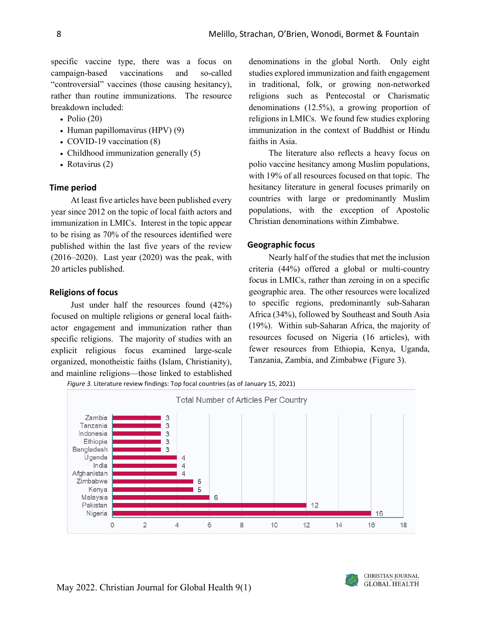specific vaccine type, there was a focus on campaign-based vaccinations and so-called "controversial" vaccines (those causing hesitancy), rather than routine immunizations. The resource breakdown included:

- Polio  $(20)$
- Human papillomavirus (HPV) (9)
- COVID-19 vaccination (8)
- Childhood immunization generally (5)
- Rotavirus (2)

# **Time period**

At least five articles have been published every year since 2012 on the topic of local faith actors and immunization in LMICs. Interest in the topic appear to be rising as 70% of the resources identified were published within the last five years of the review (2016–2020). Last year (2020) was the peak, with 20 articles published.

# **Religions of focus**

Just under half the resources found (42%) focused on multiple religions or general local faithactor engagement and immunization rather than specific religions. The majority of studies with an explicit religious focus examined large-scale organized, monotheistic faiths (Islam, Christianity), and mainline religions—those linked to established

denominations in the global North. Only eight studies explored immunization and faith engagement in traditional, folk, or growing non-networked religions such as Pentecostal or Charismatic denominations (12.5%), a growing proportion of religions in LMICs. We found few studies exploring immunization in the context of Buddhist or Hindu faiths in Asia.

The literature also reflects a heavy focus on polio vaccine hesitancy among Muslim populations, with 19% of all resources focused on that topic. The hesitancy literature in general focuses primarily on countries with large or predominantly Muslim populations, with the exception of Apostolic Christian denominations within Zimbabwe.

# **Geographic focus**

Nearly half of the studies that met the inclusion criteria (44%) offered a global or multi-country focus in LMICs, rather than zeroing in on a specific geographic area. The other resources were localized to specific regions, predominantly sub-Saharan Africa (34%), followed by Southeast and South Asia (19%). Within sub-Saharan Africa, the majority of resources focused on Nigeria (16 articles), with fewer resources from Ethiopia, Kenya, Uganda, Tanzania, Zambia, and Zimbabwe (Figure 3).

*Figure 3.* Literature review findings: Top focal countries (as of January 15, 2021)

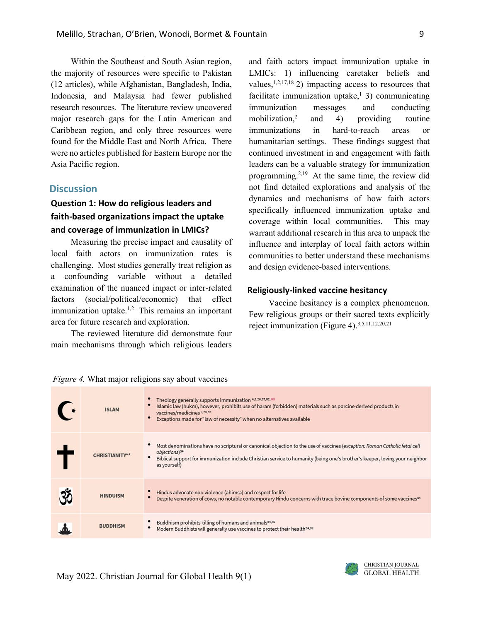Within the Southeast and South Asian region, the majority of resources were specific to Pakistan (12 articles), while Afghanistan, Bangladesh, India, Indonesia, and Malaysia had fewer published research resources. The literature review uncovered major research gaps for the Latin American and Caribbean region, and only three resources were found for the Middle East and North Africa. There were no articles published for Eastern Europe nor the Asia Pacific region.

# **Discussion**

# **Question 1: How do religious leaders and faith-based organizations impact the uptake and coverage of immunization in LMICs?**

Measuring the precise impact and causality of local faith actors on immunization rates is challenging. Most studies generally treat religion as a confounding variable without a detailed examination of the nuanced impact or inter-related factors (social/political/economic) that effect immunization uptake. $1,2$  This remains an important area for future research and exploration.

The reviewed literature did demonstrate four main mechanisms through which religious leaders

and faith actors impact immunization uptake in LMICs: 1) influencing caretaker beliefs and values, $1,2,17,18$  2) impacting access to resources that facilitate immunization uptake, $\frac{1}{3}$ ) communicating immunization messages and conducting mobilization,2 and 4) providing routine immunizations in hard-to-reach areas or humanitarian settings. These findings suggest that continued investment in and engagement with faith leaders can be a valuable strategy for immunization programming.2,19 At the same time, the review did not find detailed explorations and analysis of the dynamics and mechanisms of how faith actors specifically influenced immunization uptake and coverage within local communities. This may warrant additional research in this area to unpack the influence and interplay of local faith actors within communities to better understand these mechanisms and design evidence-based interventions.

# **Religiously-linked vaccine hesitancy**

Vaccine hesitancy is a complex phenomenon. Few religious groups or their sacred texts explicitly reject immunization (Figure 4).<sup>3,5,11,12,20,21</sup>

*Figure 4.* What major religions say about vaccines

| <b>ISLAM</b>          | Theology generally supports immunization 4,5,26,67,82, KII<br>Islamic law (hukm), however, prohibits use of haram (forbidden) materials such as porcine-derived products in<br>vaccines/medicines 4,79,82<br>Exceptions made for "law of necessity" when no alternatives available                    |
|-----------------------|-------------------------------------------------------------------------------------------------------------------------------------------------------------------------------------------------------------------------------------------------------------------------------------------------------|
| <b>CHRISTIANITY**</b> | Most denominations have no scriptural or canonical objection to the use of vaccines (exception: Roman Catholic fetal cell<br>objections) <sup>34</sup><br>Biblical support for immunization include Christian service to humanity (being one's brother's keeper, loving your neighbor<br>as yourself) |
| <b>HINDUISM</b>       | Hindus advocate non-violence (ahimsa) and respect for life<br>Despite veneration of cows, no notable contemporary Hindu concerns with trace bovine components of some vaccines <sup>34</sup>                                                                                                          |
| <b>BUDDHISM</b>       | Buddhism prohibits killing of humans and animals <sup>34,82</sup><br>Modern Buddhists will generally use vaccines to protect their health <sup>34,82</sup>                                                                                                                                            |

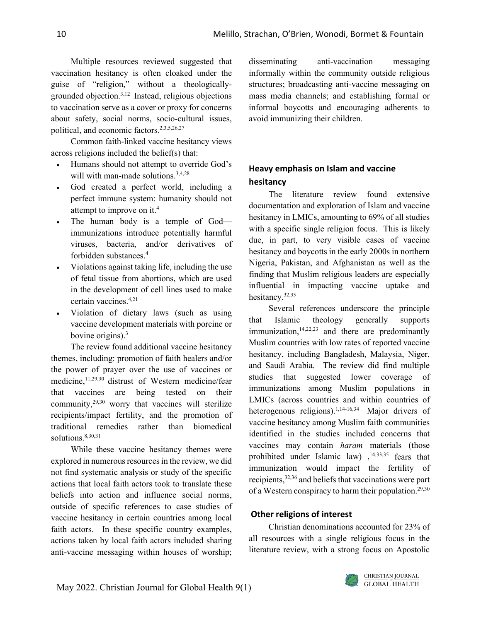Multiple resources reviewed suggested that vaccination hesitancy is often cloaked under the guise of "religion," without a theologicallygrounded objection.3,12 Instead, religious objections to vaccination serve as a cover or proxy for concerns about safety, social norms, socio-cultural issues, political, and economic factors.2,3,5,26,27

Common faith-linked vaccine hesitancy views across religions included the belief(s) that:

- Humans should not attempt to override God's will with man-made solutions.<sup>3,4,28</sup>
- God created a perfect world, including a perfect immune system: humanity should not attempt to improve on it.4
- The human body is a temple of God immunizations introduce potentially harmful viruses, bacteria, and/or derivatives of forbidden substances.4
- Violations against taking life, including the use of fetal tissue from abortions, which are used in the development of cell lines used to make certain vaccines.4,21
- Violation of dietary laws (such as using vaccine development materials with porcine or bovine origins).3

The review found additional vaccine hesitancy themes, including: promotion of faith healers and/or the power of prayer over the use of vaccines or medicine,<sup>11,29,30</sup> distrust of Western medicine/fear that vaccines are being tested on their community,29,30 worry that vaccines will sterilize recipients/impact fertility, and the promotion of traditional remedies rather than biomedical solutions.<sup>8,30,31</sup>

While these vaccine hesitancy themes were explored in numerous resources in the review, we did not find systematic analysis or study of the specific actions that local faith actors took to translate these beliefs into action and influence social norms, outside of specific references to case studies of vaccine hesitancy in certain countries among local faith actors. In these specific country examples, actions taken by local faith actors included sharing anti-vaccine messaging within houses of worship; disseminating anti-vaccination messaging informally within the community outside religious structures; broadcasting anti-vaccine messaging on mass media channels; and establishing formal or informal boycotts and encouraging adherents to avoid immunizing their children.

# **Heavy emphasis on Islam and vaccine hesitancy**

The literature review found extensive documentation and exploration of Islam and vaccine hesitancy in LMICs, amounting to 69% of all studies with a specific single religion focus. This is likely due, in part, to very visible cases of vaccine hesitancy and boycotts in the early 2000s in northern Nigeria, Pakistan, and Afghanistan as well as the finding that Muslim religious leaders are especially influential in impacting vaccine uptake and hesitancy.32,33

Several references underscore the principle that Islamic theology generally supports immunization, $14,22,23$  and there are predominantly Muslim countries with low rates of reported vaccine hesitancy, including Bangladesh, Malaysia, Niger, and Saudi Arabia. The review did find multiple studies that suggested lower coverage of immunizations among Muslim populations in LMICs (across countries and within countries of heterogenous religions).<sup>1,14-16,34</sup> Major drivers of vaccine hesitancy among Muslim faith communities identified in the studies included concerns that vaccines may contain *haram* materials (those prohibited under Islamic law),  $14,33,35$  fears that immunization would impact the fertility of recipients,32,36 and beliefs that vaccinations were part of a Western conspiracy to harm their population.<sup>29,30</sup>

# **Other religions of interest**

Christian denominations accounted for 23% of all resources with a single religious focus in the literature review, with a strong focus on Apostolic

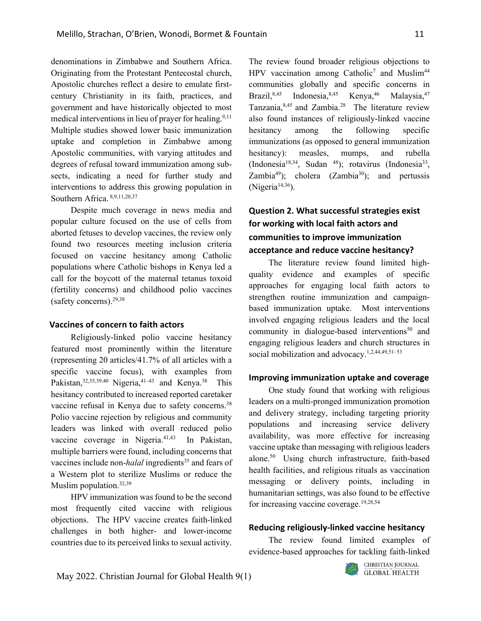denominations in Zimbabwe and Southern Africa. Originating from the Protestant Pentecostal church, Apostolic churches reflect a desire to emulate firstcentury Christianity in its faith, practices, and government and have historically objected to most medical interventions in lieu of prayer for healing.<sup>9,11</sup> Multiple studies showed lower basic immunization uptake and completion in Zimbabwe among Apostolic communities, with varying attitudes and degrees of refusal toward immunization among subsects, indicating a need for further study and interventions to address this growing population in Southern Africa. 8,9,11,20,37

Despite much coverage in news media and popular culture focused on the use of cells from aborted fetuses to develop vaccines, the review only found two resources meeting inclusion criteria focused on vaccine hesitancy among Catholic populations where Catholic bishops in Kenya led a call for the boycott of the maternal tetanus toxoid (fertility concerns) and childhood polio vaccines (safety concerns). $29,38$ 

#### **Vaccines of concern to faith actors**

Religiously-linked polio vaccine hesitancy featured most prominently within the literature (representing 20 articles/41.7% of all articles with a specific vaccine focus), with examples from Pakistan,  $32,35,39,40$  Nigeria,  $41-43$  and Kenya.<sup>38</sup> This hesitancy contributed to increased reported caretaker vaccine refusal in Kenya due to safety concerns.<sup>38</sup> Polio vaccine rejection by religious and community leaders was linked with overall reduced polio vaccine coverage in Nigeria.<sup>41,43</sup> In Pakistan, multiple barriers were found, including concerns that vaccines include non-*halal* ingredients<sup>35</sup> and fears of a Western plot to sterilize Muslims or reduce the Muslim population.<sup>32,39</sup>

HPV immunization was found to be the second most frequently cited vaccine with religious objections. The HPV vaccine creates faith-linked challenges in both higher- and lower-income countries due to its perceived links to sexual activity. The review found broader religious objections to HPV vaccination among Catholic<sup>7</sup> and Muslim<sup>44</sup> communities globally and specific concerns in Brazil,  $8,45$  Indonesia,  $8,45$  Kenya,  $46$  Malaysia,  $47$ Tanzania, $8,45$  and Zambia.<sup>28</sup> The literature review also found instances of religiously-linked vaccine hesitancy among the following specific immunizations (as opposed to general immunization hesitancy): measles, mumps, and rubella (Indonesia<sup>18,34</sup>, Sudan <sup>48</sup>); rotavirus (Indonesia<sup>33</sup>, Zambia<sup>49</sup>); cholera (Zambia<sup>30</sup>); and pertussis  $(Nigeria<sup>14,36</sup>).$ 

# **Question 2. What successful strategies exist for working with local faith actors and communities to improve immunization acceptance and reduce vaccine hesitancy?**

The literature review found limited highquality evidence and examples of specific approaches for engaging local faith actors to strengthen routine immunization and campaignbased immunization uptake. Most interventions involved engaging religious leaders and the local community in dialogue-based interventions $50$  and engaging religious leaders and church structures in social mobilization and advocacy.<sup>1,2,44,49,51-53</sup>

# **Improving immunization uptake and coverage**

One study found that working with religious leaders on a multi-pronged immunization promotion and delivery strategy, including targeting priority populations and increasing service delivery availability, was more effective for increasing vaccine uptake than messaging with religious leaders alone.50 Using church infrastructure, faith-based health facilities, and religious rituals as vaccination messaging or delivery points, including in humanitarian settings, was also found to be effective for increasing vaccine coverage.19,28,54

#### **Reducing religiously-linked vaccine hesitancy**

The review found limited examples of evidence-based approaches for tackling faith-linked

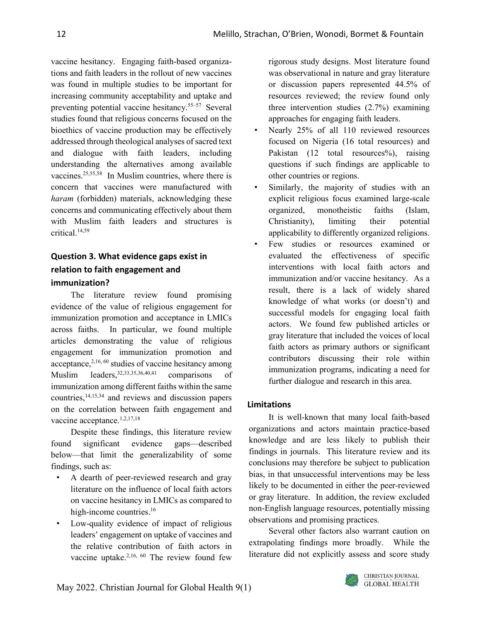vaccine hesitancy. Engaging faith-based organizations and faith leaders in the rollout of new vaccines was found in multiple studies to be important for increasing community acceptability and uptake and preventing potential vaccine hesitancy.55–57 Several studies found that religious concerns focused on the bioethics of vaccine production may be effectively addressed through theological analyses of sacred text and dialogue with faith leaders, including understanding the alternatives among available vaccines.<sup>25,55,58</sup> In Muslim countries, where there is concern that vaccines were manufactured with *haram* (forbidden) materials, acknowledging these concerns and communicating effectively about them with Muslim faith leaders and structures is critical.14,59

# **Question 3. What evidence gaps exist in relation to faith engagement and immunization?**

The literature review found promising evidence of the value of religious engagement for immunization promotion and acceptance in LMICs across faiths. In particular, we found multiple articles demonstrating the value of religious engagement for immunization promotion and acceptance,  $2,16,60$  studies of vaccine hesitancy among Muslim leaders, 32, 33, 35, 36, 40, 41 comparisons of immunization among different faiths within the same countries,14,15,34 and reviews and discussion papers on the correlation between faith engagement and vaccine acceptance.<sup>1,2,17,18</sup>

Despite these findings, this literature review found significant evidence gaps—described below—that limit the generalizability of some findings, such as:

- A dearth of peer-reviewed research and gray literature on the influence of local faith actors on vaccine hesitancy in LMICs as compared to high-income countries.<sup>16</sup>
- Low-quality evidence of impact of religious leaders' engagement on uptake of vaccines and the relative contribution of faith actors in vaccine uptake.<sup>2,16, 60</sup> The review found few

rigorous study designs. Most literature found was observational in nature and gray literature or discussion papers represented 44.5% of resources reviewed; the review found only three intervention studies (2.7%) examining approaches for engaging faith leaders.

- Nearly 25% of all 110 reviewed resources focused on Nigeria (16 total resources) and Pakistan (12 total resources%), raising questions if such findings are applicable to other countries or regions.
- Similarly, the majority of studies with an explicit religious focus examined large-scale organized, monotheistic faiths (Islam, Christianity), limiting their potential applicability to differently organized religions.
- Few studies or resources examined or evaluated the effectiveness of specific interventions with local faith actors and immunization and/or vaccine hesitancy. As a result, there is a lack of widely shared knowledge of what works (or doesn't) and successful models for engaging local faith actors. We found few published articles or gray literature that included the voices of local faith actors as primary authors or significant contributors discussing their role within immunization programs, indicating a need for further dialogue and research in this area.

# **Limitations**

It is well-known that many local faith-based organizations and actors maintain practice-based knowledge and are less likely to publish their findings in journals. This literature review and its conclusions may therefore be subject to publication bias, in that unsuccessful interventions may be less likely to be documented in either the peer-reviewed or gray literature. In addition, the review excluded non-English language resources, potentially missing observations and promising practices.

Several other factors also warrant caution on extrapolating findings more broadly. While the literature did not explicitly assess and score study

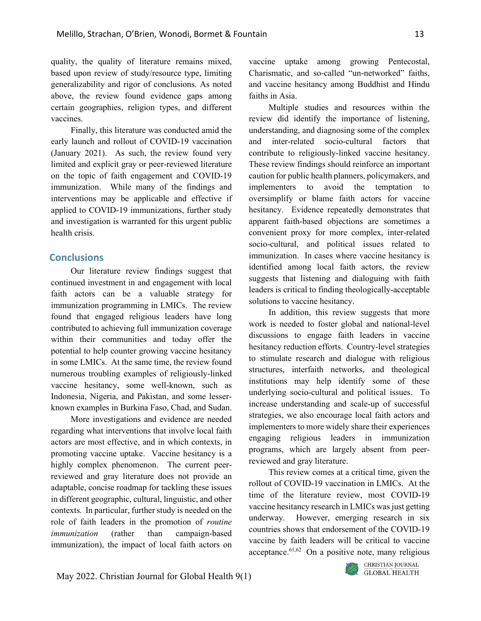quality, the quality of literature remains mixed, based upon review of study/resource type, limiting generalizability and rigor of conclusions. As noted above, the review found evidence gaps among certain geographies, religion types, and different vaccines.

Finally, this literature was conducted amid the early launch and rollout of COVID-19 vaccination (January 2021). As such, the review found very limited and explicit gray or peer-reviewed literature on the topic of faith engagement and COVID-19 immunization. While many of the findings and interventions may be applicable and effective if applied to COVID-19 immunizations, further study and investigation is warranted for this urgent public health crisis.

# **Conclusions**

Our literature review findings suggest that continued investment in and engagement with local faith actors can be a valuable strategy for immunization programming in LMICs. The review found that engaged religious leaders have long contributed to achieving full immunization coverage within their communities and today offer the potential to help counter growing vaccine hesitancy in some LMICs. At the same time, the review found numerous troubling examples of religiously-linked vaccine hesitancy, some well-known, such as Indonesia, Nigeria, and Pakistan, and some lesserknown examples in Burkina Faso, Chad, and Sudan.

More investigations and evidence are needed regarding what interventions that involve local faith actors are most effective, and in which contexts, in promoting vaccine uptake. Vaccine hesitancy is a highly complex phenomenon. The current peerreviewed and gray literature does not provide an adaptable, concise roadmap for tackling these issues in different geographic, cultural, linguistic, and other contexts. In particular, further study is needed on the role of faith leaders in the promotion of *routine immunization* (rather than campaign-based immunization), the impact of local faith actors on vaccine uptake among growing Pentecostal, Charismatic, and so-called "un-networked" faiths, and vaccine hesitancy among Buddhist and Hindu faiths in Asia.

Multiple studies and resources within the review did identify the importance of listening, understanding, and diagnosing some of the complex and inter-related socio-cultural factors that contribute to religiously-linked vaccine hesitancy. These review findings should reinforce an important caution for public health planners, policymakers, and implementers to avoid the temptation to oversimplify or blame faith actors for vaccine hesitancy. Evidence repeatedly demonstrates that apparent faith-based objections are sometimes a convenient proxy for more complex, inter-related socio-cultural, and political issues related to immunization. In cases where vaccine hesitancy is identified among local faith actors, the review suggests that listening and dialoguing with faith leaders is critical to finding theologically-acceptable solutions to vaccine hesitancy.

In addition, this review suggests that more work is needed to foster global and national-level discussions to engage faith leaders in vaccine hesitancy reduction efforts. Country-level strategies to stimulate research and dialogue with religious structures, interfaith networks, and theological institutions may help identify some of these underlying socio-cultural and political issues. To increase understanding and scale-up of successful strategies, we also encourage local faith actors and implementers to more widely share their experiences engaging religious leaders in immunization programs, which are largely absent from peerreviewed and gray literature.

This review comes at a critical time, given the rollout of COVID-19 vaccination in LMICs. At the time of the literature review, most COVID-19 vaccine hesitancy research in LMICs was just getting underway. However, emerging research in six countries shows that endorsement of the COVID-19 vaccine by faith leaders will be critical to vaccine acceptance. $61,62$  On a positive note, many religious

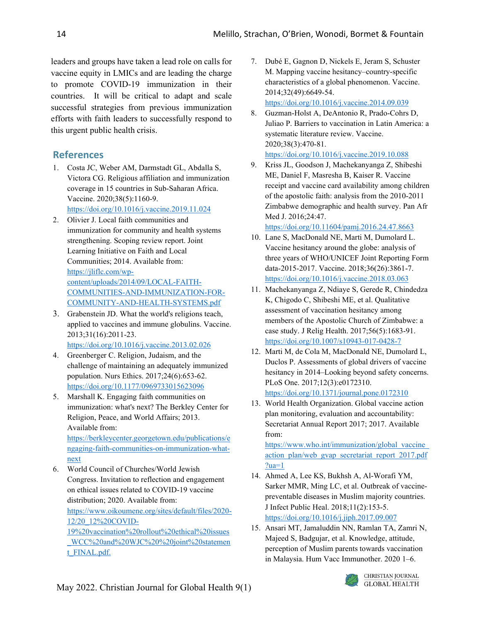leaders and groups have taken a lead role on calls for vaccine equity in LMICs and are leading the charge to promote COVID-19 immunization in their countries. It will be critical to adapt and scale successful strategies from previous immunization efforts with faith leaders to successfully respond to this urgent public health crisis.

# **References**

[next](https://berkleycenter.georgetown.edu/publications/engaging-faith-communities-on-immunization-what-next)

- 1. Costa JC, Weber AM, Darmstadt GL, Abdalla S, Victora CG. Religious affiliation and immunization coverage in 15 countries in Sub-Saharan Africa. Vaccine. 2020;38(5):1160-9. <https://doi.org/10.1016/j.vaccine.2019.11.024>
- 2. Olivier J. Local faith communities and immunization for community and health systems strengthening. Scoping review report. Joint Learning Initiative on Faith and Local Communities; 2014. Available from: [https://jliflc.com/wp](https://jliflc.com/wp-content/uploads/2014/09/LOCAL-FAITH-COMMUNITIES-AND-IMMUNIZATION-FOR-COMMUNITY-AND-HEALTH-SYSTEMS.pdf)[content/uploads/2014/09/LOCAL-FAITH-](https://jliflc.com/wp-content/uploads/2014/09/LOCAL-FAITH-COMMUNITIES-AND-IMMUNIZATION-FOR-COMMUNITY-AND-HEALTH-SYSTEMS.pdf)[COMMUNITIES-AND-IMMUNIZATION-FOR-](https://jliflc.com/wp-content/uploads/2014/09/LOCAL-FAITH-COMMUNITIES-AND-IMMUNIZATION-FOR-COMMUNITY-AND-HEALTH-SYSTEMS.pdf)[COMMUNITY-AND-HEALTH-SYSTEMS.pdf](https://jliflc.com/wp-content/uploads/2014/09/LOCAL-FAITH-COMMUNITIES-AND-IMMUNIZATION-FOR-COMMUNITY-AND-HEALTH-SYSTEMS.pdf)
- 3. Grabenstein JD. What the world's religions teach, applied to vaccines and immune globulins. Vaccine. 2013;31(16):2011-23. <https://doi.org/10.1016/j.vaccine.2013.02.026>
- 4. Greenberger C. Religion, Judaism, and the challenge of maintaining an adequately immunized population. Nurs Ethics. 2017;24(6):653-62. <https://doi.org/10.1177/0969733015623096>
- 5. Marshall K. Engaging faith communities on immunization: what's next? The Berkley Center for Religion, Peace, and World Affairs; 2013. Available from: [https://berkleycenter.georgetown.edu/publications/e](https://berkleycenter.georgetown.edu/publications/engaging-faith-communities-on-immunization-what-next) [ngaging-faith-communities-on-immunization-what-](https://berkleycenter.georgetown.edu/publications/engaging-faith-communities-on-immunization-what-next)
- 6. World Council of Churches/World Jewish Congress. Invitation to reflection and engagement on ethical issues related to COVID-19 vaccine distribution; 2020. Available from: [https://www.oikoumene.org/sites/default/files/2020-](https://www.oikoumene.org/sites/default/files/2020-12/20_12%20COVID-19%20vaccination%20rollout%20ethical%20issues_WCC%20and%20WJC%20%20joint%20statement_FINAL.pdf.) [12/20\\_12%20COVID-](https://www.oikoumene.org/sites/default/files/2020-12/20_12%20COVID-19%20vaccination%20rollout%20ethical%20issues_WCC%20and%20WJC%20%20joint%20statement_FINAL.pdf.)[19%20vaccination%20rollout%20ethical%20issues](https://www.oikoumene.org/sites/default/files/2020-12/20_12%20COVID-19%20vaccination%20rollout%20ethical%20issues_WCC%20and%20WJC%20%20joint%20statement_FINAL.pdf.) [\\_WCC%20and%20WJC%20%20joint%20statemen](https://www.oikoumene.org/sites/default/files/2020-12/20_12%20COVID-19%20vaccination%20rollout%20ethical%20issues_WCC%20and%20WJC%20%20joint%20statement_FINAL.pdf.) [t\\_FINAL.pdf.](https://www.oikoumene.org/sites/default/files/2020-12/20_12%20COVID-19%20vaccination%20rollout%20ethical%20issues_WCC%20and%20WJC%20%20joint%20statement_FINAL.pdf.)
- 7. Dubé E, Gagnon D, Nickels E, Jeram S, Schuster M. Mapping vaccine hesitancy–country-specific characteristics of a global phenomenon. Vaccine. 2014;32(49):6649-54. <https://doi.org/10.1016/j.vaccine.2014.09.039>
- 8. Guzman-Holst A, DeAntonio R, Prado-Cohrs D, Juliao P. Barriers to vaccination in Latin America: a systematic literature review. Vaccine. 2020;38(3):470-81. <https://doi.org/10.1016/j.vaccine.2019.10.088>
- 9. Kriss JL, Goodson J, Machekanyanga Z, Shibeshi ME, Daniel F, Masresha B, Kaiser R. Vaccine receipt and vaccine card availability among children of the apostolic faith: analysis from the 2010-2011 Zimbabwe demographic and health survey. Pan Afr Med J. 2016;24:47.

<https://doi.org/10.11604/pamj.2016.24.47.8663>

- 10. Lane S, MacDonald NE, Marti M, Dumolard L. Vaccine hesitancy around the globe: analysis of three years of WHO/UNICEF Joint Reporting Form data-2015-2017. Vaccine. 2018;36(26):3861-7. <https://doi.org/10.1016/j.vaccine.2018.03.063>
- 11. Machekanyanga Z, Ndiaye S, Gerede R, Chindedza K, Chigodo C, Shibeshi ME, et al. Qualitative assessment of vaccination hesitancy among members of the Apostolic Church of Zimbabwe: a case study. J Relig Health. 2017;56(5):1683-91. <https://doi.org/10.1007/s10943-017-0428-7>
- 12. Marti M, de Cola M, MacDonald NE, Dumolard L, Duclos P. Assessments of global drivers of vaccine hesitancy in 2014–Looking beyond safety concerns. PLoS One. 2017;12(3):e0172310. <https://doi.org/10.1371/journal.pone.0172310>
- 13. World Health Organization. Global vaccine action plan monitoring, evaluation and accountability: Secretariat Annual Report 2017; 2017. Available from:

[https://www.who.int/immunization/global\\_vaccine\\_](https://www.who.int/immunization/global_vaccine_action_plan/web_gvap_secretariat_report_2017.pdf?ua=1) [action\\_plan/web\\_gvap\\_secretariat\\_report\\_2017.pdf](https://www.who.int/immunization/global_vaccine_action_plan/web_gvap_secretariat_report_2017.pdf?ua=1) [?ua=1](https://www.who.int/immunization/global_vaccine_action_plan/web_gvap_secretariat_report_2017.pdf?ua=1)

- 14. Ahmed A, Lee KS, Bukhsh A, Al-Worafi YM, Sarker MMR, Ming LC, et al. Outbreak of vaccinepreventable diseases in Muslim majority countries. J Infect Public Heal. 2018;11(2):153-5. <https://doi.org/10.1016/j.jiph.2017.09.007>
- 15. Ansari MT, Jamaluddin NN, Ramlan TA, Zamri N, Majeed S, Badgujar, et al. Knowledge, attitude, perception of Muslim parents towards vaccination in Malaysia. Hum Vacc Immunother. 2020 1–6.

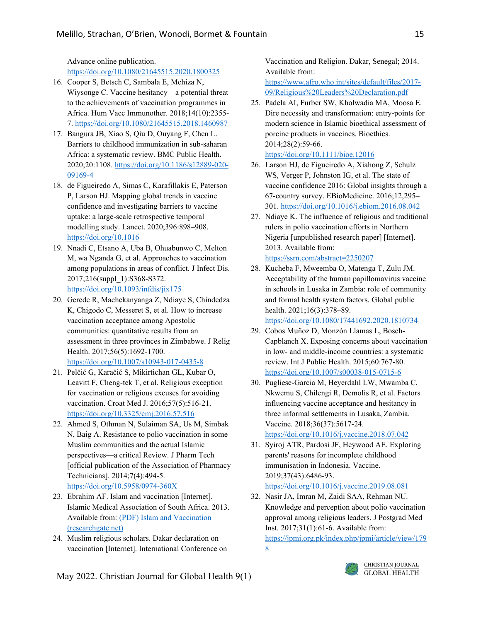Advance online publication. <https://doi.org/10.1080/21645515.2020.1800325>

- 16. Cooper S, Betsch C, Sambala E, Mchiza N, Wiysonge C. Vaccine hesitancy—a potential threat to the achievements of vaccination programmes in Africa. Hum Vacc Immunother. 2018;14(10):2355- 7[. https://doi.org/10.1080/21645515.2018.1460987](https://doi.org/10.1080/21645515.2018.1460987)
- 17. Bangura JB, Xiao S, Qiu D, Ouyang F, Chen L. Barriers to childhood immunization in sub-saharan Africa: a systematic review. BMC Public Health. 2020;20:1108. [https://doi.org/10.1186/s12889-020-](https://doi.org/10.1186/s12889-020-09169-4) [09169-4](https://doi.org/10.1186/s12889-020-09169-4)
- 18. de Figueiredo A, Simas C, Karafillakis E, Paterson P, Larson HJ. Mapping global trends in vaccine confidence and investigating barriers to vaccine uptake: a large-scale retrospective temporal modelling study. Lancet. 2020;396:898–908. <https://doi.org/10.1016>
- 19. Nnadi C, Etsano A, Uba B, Ohuabunwo C, Melton M, wa Nganda G, et al. Approaches to vaccination among populations in areas of conflict. J Infect Dis. 2017;216(suppl\_1):S368-S372. <https://doi.org/10.1093/infdis/jix175>
- 20. Gerede R, Machekanyanga Z, Ndiaye S, Chindedza K, Chigodo C, Messeret S, et al. How to increase vaccination acceptance among Apostolic communities: quantitative results from an assessment in three provinces in Zimbabwe. J Relig Health. 2017;56(5):1692-1700. <https://doi.org/10.1007/s10943-017-0435-8>
- 21. Pelčić G, Karačić S, Mikirtichan GL, Kubar O, Leavitt F, Cheng-tek T, et al. Religious exception for vaccination or religious excuses for avoiding vaccination. Croat Med J. 2016;57(5):516-21. <https://doi.org/10.3325/cmj.2016.57.516>
- 22. Ahmed S, Othman N, Sulaiman SA, Us M, Simbak N, Baig A. Resistance to polio vaccination in some Muslim communities and the actual Islamic perspectives—a critical Review. J Pharm Tech [official publication of the Association of Pharmacy Technicians]. 2014;7(4):494-5. <https://doi.org/10.5958/0974-360X>
- 23. Ebrahim AF. Islam and vaccination [Internet]. Islamic Medical Association of South Africa. 2013. Available from[: \(PDF\) Islam and Vaccination](https://www.researchgate.net/publication/273760647_Islam_and_Vaccination)  [\(researchgate.net\)](https://www.researchgate.net/publication/273760647_Islam_and_Vaccination)
- 24. Muslim religious scholars. Dakar declaration on vaccination [Internet]. International Conference on

Vaccination and Religion. Dakar, Senegal; 2014. Available from:

[https://www.afro.who.int/sites/default/files/2017-](https://www.afro.who.int/sites/default/files/2017-09/Religious%20Leaders%20Declaration.pdf) [09/Religious%20Leaders%20Declaration.pdf](https://www.afro.who.int/sites/default/files/2017-09/Religious%20Leaders%20Declaration.pdf)

- 25. Padela AI, Furber SW, Kholwadia MA, Moosa E. Dire necessity and transformation: entry-points for modern science in Islamic bioethical assessment of porcine products in vaccines. Bioethics. 2014;28(2):59-66. <https://doi.org/10.1111/bioe.12016>
- 26. Larson HJ, de Figueiredo A, Xiahong Z, Schulz WS, Verger P, Johnston IG, et al. The state of vaccine confidence 2016: Global insights through a 67-country survey. EBioMedicine. 2016;12,295– 301[. https://doi.org/10.1016/j.ebiom.2016.08.042](https://doi.org/10.1016/j.ebiom.2016.08.042)
- 27. Ndiaye K. The influence of religious and traditional rulers in polio vaccination efforts in Northern Nigeria [unpublished research paper] [Internet]. 2013. Available from: <https://ssrn.com/abstract=2250207>
- 28. Kucheba F, Mweemba O, Matenga T, Zulu JM. Acceptability of the human papillomavirus vaccine in schools in Lusaka in Zambia: role of community and formal health system factors. Global public health. 2021;16(3):378-89. <https://doi.org/10.1080/17441692.2020.1810734>
- 29. Cobos Muñoz D, Monzón Llamas L, Bosch-Capblanch X. Exposing concerns about vaccination in low- and middle-income countries: a systematic review. Int J Public Health. 2015;60:767-80. <https://doi.org/10.1007/s00038-015-0715-6>
- 30. Pugliese-Garcia M, Heyerdahl LW, Mwamba C, Nkwemu S, Chilengi R, Demolis R, et al. Factors influencing vaccine acceptance and hesitancy in three informal settlements in Lusaka, Zambia. Vaccine. 2018;36(37):5617-24. <https://doi.org/10.1016/j.vaccine.2018.07.042>
- 31. Syiroj ATR, Pardosi JF, Heywood AE. Exploring parents' reasons for incomplete childhood immunisation in Indonesia. Vaccine. 2019;37(43):6486-93. <https://doi.org/10.1016/j.vaccine.2019.08.081>
- 32. Nasir JA, Imran M, Zaidi SAA, Rehman NU. Knowledge and perception about polio vaccination approval among religious leaders. J Postgrad Med Inst. 2017;31(1):61-6. Available from: [https://jpmi.org.pk/index.php/jpmi/article/view/179](https://jpmi.org.pk/index.php/jpmi/article/view/1798) [8](https://jpmi.org.pk/index.php/jpmi/article/view/1798)

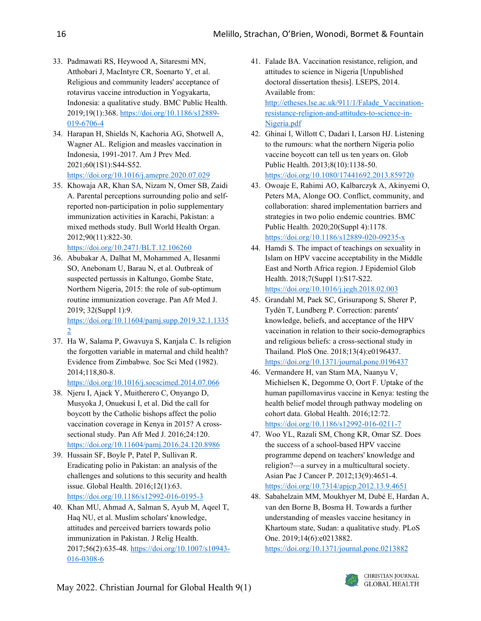- 33. Padmawati RS, Heywood A, Sitaresmi MN, Atthobari J, MacIntyre CR, Soenarto Y, et al. Religious and community leaders' acceptance of rotavirus vaccine introduction in Yogyakarta, Indonesia: a qualitative study. BMC Public Health. 2019;19(1):368[. https://doi.org/10.1186/s12889-](https://doi.org/10.1186/s12889-019-6706-4) [019-6706-4](https://doi.org/10.1186/s12889-019-6706-4)
- 34. Harapan H, Shields N, Kachoria AG, Shotwell A, Wagner AL. Religion and measles vaccination in Indonesia, 1991-2017. Am J Prev Med. 2021;60(1S1):S44-S52. <https://doi.org/10.1016/j.amepre.2020.07.029>
- 35. Khowaja AR, Khan SA, Nizam N, Omer SB, Zaidi A. Parental perceptions surrounding polio and selfreported non-participation in polio supplementary immunization activities in Karachi, Pakistan: a mixed methods study. Bull World Health Organ. 2012;90(11):822-30.

<https://doi.org/10.2471/BLT.12.106260>

- 36. Abubakar A, Dalhat M, Mohammed A, Ilesanmi SO, Anebonam U, Barau N, et al. Outbreak of suspected pertussis in Kaltungo, Gombe State, Northern Nigeria, 2015: the role of sub-optimum routine immunization coverage. Pan Afr Med J. 2019; 32(Suppl 1):9. [https://doi.org/10.11604/pamj.supp.2019.32.1.1335](https://doi.org/10.11604/pamj.supp.2019.32.1.13352) [2](https://doi.org/10.11604/pamj.supp.2019.32.1.13352)
- 37. Ha W, Salama P, Gwavuya S, Kanjala C. Is religion the forgotten variable in maternal and child health? Evidence from Zimbabwe. Soc Sci Med (1982). 2014;118,80-8.

<https://doi.org/10.1016/j.socscimed.2014.07.066>

- 38. Njeru I, Ajack Y, Muitherero C, Onyango D, Musyoka J, Onuekusi I, et al. Did the call for boycott by the Catholic bishops affect the polio vaccination coverage in Kenya in 2015? A crosssectional study. Pan Afr Med J. 2016;24:120. <https://doi.org/10.11604/pamj.2016.24.120.8986>
- 39. Hussain SF, Boyle P, Patel P, Sullivan R. Eradicating polio in Pakistan: an analysis of the challenges and solutions to this security and health issue. Global Health. 2016;12(1):63. <https://doi.org/10.1186/s12992-016-0195-3>
- 40. Khan MU, Ahmad A, Salman S, Ayub M, Aqeel T, Haq NU, et al. Muslim scholars' knowledge, attitudes and perceived barriers towards polio immunization in Pakistan. J Relig Health. 2017;56(2):635-48. [https://doi.org/10.1007/s10943-](https://doi.org/10.1007/s10943-016-0308-6) [016-0308-6](https://doi.org/10.1007/s10943-016-0308-6)
- 41. Falade BA. Vaccination resistance, religion, and attitudes to science in Nigeria [Unpublished doctoral dissertation thesis]. LSEPS, 2014. Available from: [http://etheses.lse.ac.uk/911/1/Falade\\_Vaccination](http://etheses.lse.ac.uk/911/1/Falade_Vaccination-resistance-religion-and-attitudes-to-science-in-Nigeria.pdf)[resistance-religion-and-attitudes-to-science-in-](http://etheses.lse.ac.uk/911/1/Falade_Vaccination-resistance-religion-and-attitudes-to-science-in-Nigeria.pdf)[Nigeria.pdf](http://etheses.lse.ac.uk/911/1/Falade_Vaccination-resistance-religion-and-attitudes-to-science-in-Nigeria.pdf)
- 42. Ghinai I, Willott C, Dadari I, Larson HJ. Listening to the rumours: what the northern Nigeria polio vaccine boycott can tell us ten years on. Glob Public Health. 2013;8(10):1138-50. <https://doi.org/10.1080/17441692.2013.859720>
- 43. Owoaje E, Rahimi AO, Kalbarczyk A, Akinyemi O, Peters MA, Alonge OO. Conflict, community, and collaboration: shared implementation barriers and strategies in two polio endemic countries. BMC Public Health. 2020;20(Suppl 4):1178. <https://doi.org/10.1186/s12889-020-09235-x>
- 44. Hamdi S. The impact of teachings on sexuality in Islam on HPV vaccine acceptability in the Middle East and North Africa region. J Epidemiol Glob Health. 2018;7(Suppl 1):S17-S22. <https://doi.org/10.1016/j.jegh.2018.02.003>
- 45. Grandahl M, Paek SC, Grisurapong S, Sherer P, Tydén T, Lundberg P. Correction: parents' knowledge, beliefs, and acceptance of the HPV vaccination in relation to their socio-demographics and religious beliefs: a cross-sectional study in Thailand. PloS One. 2018;13(4):e0196437. <https://doi.org/10.1371/journal.pone.0196437>
- 46. Vermandere H, van Stam MA, Naanyu V, Michielsen K, Degomme O, Oort F. Uptake of the human papillomavirus vaccine in Kenya: testing the health belief model through pathway modeling on cohort data. Global Health. 2016;12:72. <https://doi.org/10.1186/s12992-016-0211-7>
- 47. Woo YL, Razali SM, Chong KR, Omar SZ. Does the success of a school-based HPV vaccine programme depend on teachers' knowledge and religion?—a survey in a multicultural society. Asian Pac J Cancer P. 2012;13(9):4651-4. <https://doi.org/10.7314/apjcp.2012.13.9.4651>
- 48. Sabahelzain MM, Moukhyer M, Dubé E, Hardan A, van den Borne B, Bosma H. Towards a further understanding of measles vaccine hesitancy in Khartoum state, Sudan: a qualitative study. PLoS One. 2019;14(6):e0213882.

<https://doi.org/10.1371/journal.pone.0213882>

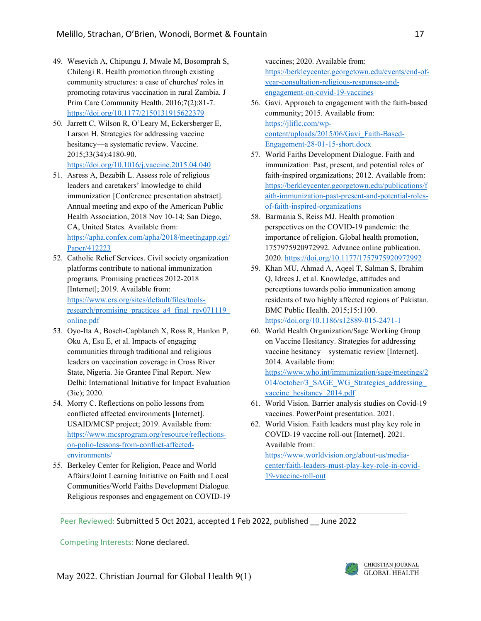- 49. Wesevich A, Chipungu J, Mwale M, Bosomprah S, Chilengi R. Health promotion through existing community structures: a case of churches' roles in promoting rotavirus vaccination in rural Zambia. J Prim Care Community Health. 2016;7(2):81-7. <https://doi.org/10.1177/2150131915622379>
- 50. Jarrett C, Wilson R, O'Leary M, Eckersberger E, Larson H. Strategies for addressing vaccine hesitancy—a systematic review. Vaccine. 2015;33(34):4180-90. <https://doi.org/10.1016/j.vaccine.2015.04.040>
- 51. Asress A, Bezabih L. Assess role of religious leaders and caretakers' knowledge to child immunization [Conference presentation abstract]. Annual meeting and expo of the American Public Health Association, 2018 Nov 10-14; San Diego, CA, United States. Available from: [https://apha.confex.com/apha/2018/meetingapp.cgi/](https://apha.confex.com/apha/2018/meetingapp.cgi/Paper/412223) [Paper/412223](https://apha.confex.com/apha/2018/meetingapp.cgi/Paper/412223)
- 52. Catholic Relief Services. Civil society organization platforms contribute to national immunization programs. Promising practices 2012-2018 [Internet]; 2019. Available from: [https://www.crs.org/sites/default/files/tools](https://www.crs.org/sites/default/files/tools-research/promising_practices_a4_final_rev071119_online.pdf)research/promising\_practices\_a4\_final\_rev071119 [online.pdf](https://www.crs.org/sites/default/files/tools-research/promising_practices_a4_final_rev071119_online.pdf)
- 53. Oyo-Ita A, Bosch-Capblanch X, Ross R, Hanlon P, Oku A, Esu E, et al. Impacts of engaging communities through traditional and religious leaders on vaccination coverage in Cross River State, Nigeria. 3ie Grantee Final Report. New Delhi: International Initiative for Impact Evaluation (3ie); 2020.
- 54. Morry C. Reflections on polio lessons from conflicted affected environments [Internet]. USAID/MCSP project; 2019. Available from: [https://www.mcsprogram.org/resource/reflections](https://www.mcsprogram.org/resource/reflections-on-polio-lessons-from-conflict-affected-environments/)[on-polio-lessons-from-conflict-affected](https://www.mcsprogram.org/resource/reflections-on-polio-lessons-from-conflict-affected-environments/)[environments/](https://www.mcsprogram.org/resource/reflections-on-polio-lessons-from-conflict-affected-environments/)
- 55. Berkeley Center for Religion, Peace and World Affairs/Joint Learning Initiative on Faith and Local Communities/World Faiths Development Dialogue. Religious responses and engagement on COVID-19

vaccines; 2020. Available from: [https://berkleycenter.georgetown.edu/events/end-of](https://berkleycenter.georgetown.edu/events/end-of-year-consultation-religious-responses-and-engagement-on-covid-19-vaccines)[year-consultation-religious-responses-and](https://berkleycenter.georgetown.edu/events/end-of-year-consultation-religious-responses-and-engagement-on-covid-19-vaccines)[engagement-on-covid-19-vaccines](https://berkleycenter.georgetown.edu/events/end-of-year-consultation-religious-responses-and-engagement-on-covid-19-vaccines)

- 56. Gavi. Approach to engagement with the faith-based community; 2015. Available from: [https://jliflc.com/wp](https://jliflc.com/wp-content/uploads/2015/06/Gavi_Faith-Based-Engagement-28-01-15-short.docx)[content/uploads/2015/06/Gavi\\_Faith-Based-](https://jliflc.com/wp-content/uploads/2015/06/Gavi_Faith-Based-Engagement-28-01-15-short.docx)[Engagement-28-01-15-short.docx](https://jliflc.com/wp-content/uploads/2015/06/Gavi_Faith-Based-Engagement-28-01-15-short.docx)
- 57. World Faiths Development Dialogue. Faith and immunization: Past, present, and potential roles of faith-inspired organizations; 2012. Available from: [https://berkleycenter.georgetown.edu/publications/f](https://berkleycenter.georgetown.edu/publications/faith-immunization-past-present-and-potential-roles-of-faith-inspired-organizations) [aith-immunization-past-present-and-potential-roles](https://berkleycenter.georgetown.edu/publications/faith-immunization-past-present-and-potential-roles-of-faith-inspired-organizations)[of-faith-inspired-organizations](https://berkleycenter.georgetown.edu/publications/faith-immunization-past-present-and-potential-roles-of-faith-inspired-organizations)
- 58. Barmania S, Reiss MJ. Health promotion perspectives on the COVID-19 pandemic: the importance of religion. Global health promotion, 1757975920972992. Advance online publication. 2020[. https://doi.org/10.1177/1757975920972992](https://doi.org/10.1177/1757975920972992)
- 59. Khan MU, Ahmad A, Aqeel T, Salman S, Ibrahim Q, Idrees J, et al. Knowledge, attitudes and perceptions towards polio immunization among residents of two highly affected regions of Pakistan. BMC Public Health. 2015;15:1100. <https://doi.org/10.1186/s12889-015-2471-1>
- 60. World Health Organization/Sage Working Group on Vaccine Hesitancy. Strategies for addressing vaccine hesitancy—systematic review [Internet]. 2014. Available from: [https://www.who.int/immunization/sage/meetings/2](https://www.who.int/immunization/sage/meetings/2014/october/3_SAGE_WG_Strategies_addressing_vaccine_hesitancy_2014.pdf) 014/october/3\_SAGE\_WG\_Strategies\_addressing vaccine hesitancy 2014.pdf
- 61. World Vision. Barrier analysis studies on Covid-19 vaccines. PowerPoint presentation. 2021.
- 62. World Vision. Faith leaders must play key role in COVID-19 vaccine roll-out [Internet]. 2021. Available from:

[https://www.worldvision.org/about-us/media](https://www.worldvision.org/about-us/media-center/faith-leaders-must-play-key-role-in-covid-19-vaccine-roll-out)[center/faith-leaders-must-play-key-role-in-covid-](https://www.worldvision.org/about-us/media-center/faith-leaders-must-play-key-role-in-covid-19-vaccine-roll-out)[19-vaccine-roll-out](https://www.worldvision.org/about-us/media-center/faith-leaders-must-play-key-role-in-covid-19-vaccine-roll-out)

Peer Reviewed: Submitted 5 Oct 2021, accepted 1 Feb 2022, published \_\_ June 2022

Competing Interests: None declared.

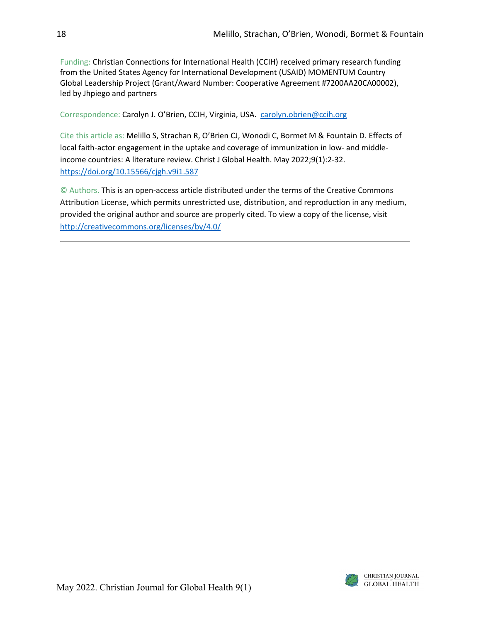Funding: Christian Connections for International Health (CCIH) received primary research funding from the United States Agency for International Development (USAID) MOMENTUM Country Global Leadership Project (Grant/Award Number: Cooperative Agreement #7200AA20CA00002), led by Jhpiego and partners

Correspondence: Carolyn J. O'Brien, CCIH, Virginia, USA. [carolyn.obrien@ccih.org](mailto:carolyn.obrien@ccih.org)

Cite this article as: Melillo S, Strachan R, O'Brien CJ, Wonodi C, Bormet M & Fountain D. Effects of local faith-actor engagement in the uptake and coverage of immunization in low- and middleincome countries: A literature review. Christ J Global Health. May 2022;9(1):2-32. <https://doi.org/10.15566/cjgh.v9i1.587>

© Authors. This is an open-access article distributed under the terms of the Creative Commons Attribution License, which permits unrestricted use, distribution, and reproduction in any medium, provided the original author and source are properly cited. To view a copy of the license, visit <http://creativecommons.org/licenses/by/4.0/>

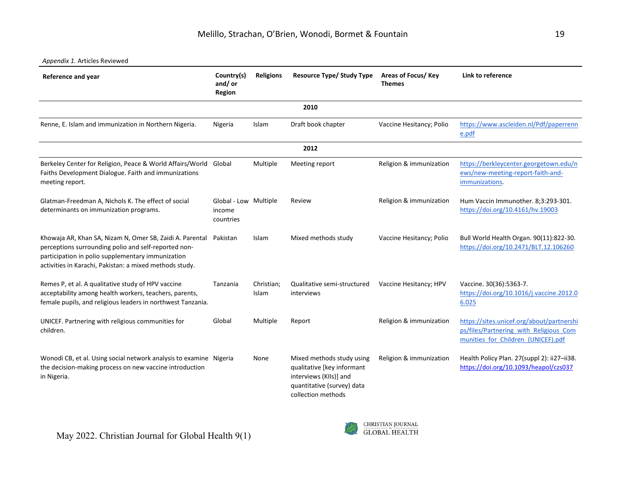### *Appendix 1.* Articles Reviewed

| <b>Reference and year</b>                                                                                                                                                                                                        | Country(s)<br>and/or<br><b>Region</b>        | <b>Religions</b>    | <b>Resource Type/ Study Type</b>                                                                                                      | Areas of Focus/ Key<br><b>Themes</b> | Link to reference                                                                                                         |
|----------------------------------------------------------------------------------------------------------------------------------------------------------------------------------------------------------------------------------|----------------------------------------------|---------------------|---------------------------------------------------------------------------------------------------------------------------------------|--------------------------------------|---------------------------------------------------------------------------------------------------------------------------|
|                                                                                                                                                                                                                                  |                                              |                     | 2010                                                                                                                                  |                                      |                                                                                                                           |
| Renne, E. Islam and immunization in Northern Nigeria.                                                                                                                                                                            | Nigeria                                      | Islam               | Draft book chapter                                                                                                                    | Vaccine Hesitancy; Polio             | https://www.ascleiden.nl/Pdf/paperrenn<br>e.pdf                                                                           |
|                                                                                                                                                                                                                                  |                                              |                     | 2012                                                                                                                                  |                                      |                                                                                                                           |
| Berkeley Center for Religion, Peace & World Affairs/World Global<br>Faiths Development Dialogue. Faith and immunizations<br>meeting report.                                                                                      |                                              | Multiple            | Meeting report                                                                                                                        | Religion & immunization              | https://berkleycenter.georgetown.edu/n<br>ews/new-meeting-report-faith-and-<br>immunizations.                             |
| Glatman-Freedman A, Nichols K. The effect of social<br>determinants on immunization programs.                                                                                                                                    | Global - Low Multiple<br>income<br>countries |                     | Review                                                                                                                                | Religion & immunization              | Hum Vaccin Immunother. 8;3:293-301.<br>https://doi.org/10.4161/hv.19003                                                   |
| Khowaja AR, Khan SA, Nizam N, Omer SB, Zaidi A. Parental<br>perceptions surrounding polio and self-reported non-<br>participation in polio supplementary immunization<br>activities in Karachi, Pakistan: a mixed methods study. | Pakistan                                     | Islam               | Mixed methods study                                                                                                                   | Vaccine Hesitancy; Polio             | Bull World Health Organ. 90(11):822-30.<br>https://doi.org/10.2471/BLT.12.106260                                          |
| Remes P, et al. A qualitative study of HPV vaccine<br>acceptability among health workers, teachers, parents,<br>female pupils, and religious leaders in northwest Tanzania.                                                      | Tanzania                                     | Christian;<br>Islam | Qualitative semi-structured<br>interviews                                                                                             | Vaccine Hesitancy; HPV               | Vaccine. 30(36):5363-7.<br>https://doi.org/10.1016/j.vaccine.2012.0<br>6.025                                              |
| UNICEF. Partnering with religious communities for<br>children.                                                                                                                                                                   | Global                                       | Multiple            | Report                                                                                                                                | Religion & immunization              | https://sites.unicef.org/about/partnershi<br>ps/files/Partnering with Religious Com<br>munities for Children (UNICEF).pdf |
| Wonodi CB, et al. Using social network analysis to examine Nigeria<br>the decision-making process on new vaccine introduction<br>in Nigeria.                                                                                     |                                              | None                | Mixed methods study using<br>qualitative [key informant<br>interviews (KIIs)] and<br>quantitative (survey) data<br>collection methods | Religion & immunization              | Health Policy Plan. 27(suppl 2): ii27-ii38.<br>https://doi.org/10.1093/heapol/czs037                                      |

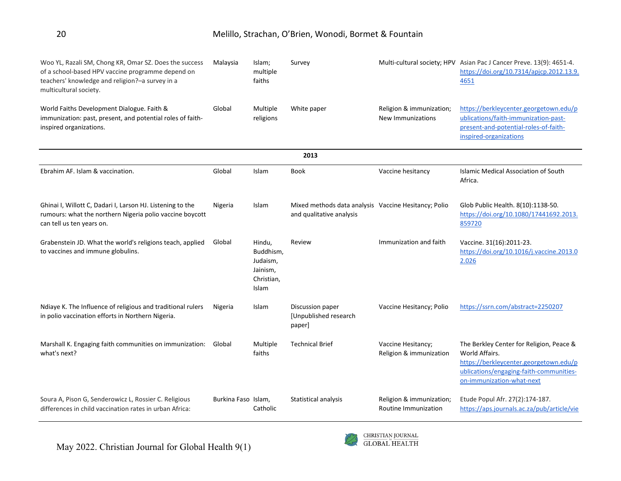| Woo YL, Razali SM, Chong KR, Omar SZ. Does the success<br>of a school-based HPV vaccine programme depend on<br>teachers' knowledge and religion?-a survey in a<br>multicultural society. | Malaysia            | Islam;<br>multiple<br>faiths                                       | Survey                                                                           |                                                  | Multi-cultural society; HPV Asian Pac J Cancer Preve. 13(9): 4651-4.<br>https://doi.org/10.7314/apjcp.2012.13.9.<br>4651                                                     |
|------------------------------------------------------------------------------------------------------------------------------------------------------------------------------------------|---------------------|--------------------------------------------------------------------|----------------------------------------------------------------------------------|--------------------------------------------------|------------------------------------------------------------------------------------------------------------------------------------------------------------------------------|
| World Faiths Development Dialogue. Faith &<br>immunization: past, present, and potential roles of faith-<br>inspired organizations.                                                      | Global              | Multiple<br>religions                                              | White paper                                                                      | Religion & immunization;<br>New Immunizations    | https://berkleycenter.georgetown.edu/p<br>ublications/faith-immunization-past-<br>present-and-potential-roles-of-faith-<br>inspired-organizations                            |
|                                                                                                                                                                                          |                     |                                                                    | 2013                                                                             |                                                  |                                                                                                                                                                              |
| Ebrahim AF. Islam & vaccination.                                                                                                                                                         | Global              | Islam                                                              | <b>Book</b>                                                                      | Vaccine hesitancy                                | <b>Islamic Medical Association of South</b><br>Africa.                                                                                                                       |
| Ghinai I, Willott C, Dadari I, Larson HJ. Listening to the<br>rumours: what the northern Nigeria polio vaccine boycott<br>can tell us ten years on.                                      | Nigeria             | Islam                                                              | Mixed methods data analysis Vaccine Hesitancy; Polio<br>and qualitative analysis |                                                  | Glob Public Health. 8(10):1138-50.<br>https://doi.org/10.1080/17441692.2013.<br>859720                                                                                       |
| Grabenstein JD. What the world's religions teach, applied<br>to vaccines and immune globulins.                                                                                           | Global              | Hindu,<br>Buddhism,<br>Judaism,<br>Jainism,<br>Christian,<br>Islam | Review                                                                           | Immunization and faith                           | Vaccine. 31(16):2011-23.<br>https://doi.org/10.1016/j.vaccine.2013.0<br>2.026                                                                                                |
| Ndiaye K. The Influence of religious and traditional rulers<br>in polio vaccination efforts in Northern Nigeria.                                                                         | Nigeria             | Islam                                                              | Discussion paper<br>[Unpublished research<br>paper]                              | Vaccine Hesitancy; Polio                         | https://ssrn.com/abstract=2250207                                                                                                                                            |
| Marshall K. Engaging faith communities on immunization: Global<br>what's next?                                                                                                           |                     | Multiple<br>faiths                                                 | <b>Technical Brief</b>                                                           | Vaccine Hesitancy;<br>Religion & immunization    | The Berkley Center for Religion, Peace &<br>World Affairs.<br>https://berkleycenter.georgetown.edu/p<br>ublications/engaging-faith-communities-<br>on-immunization-what-next |
| Soura A, Pison G, Senderowicz L, Rossier C. Religious<br>differences in child vaccination rates in urban Africa:                                                                         | Burkina Faso Islam, | Catholic                                                           | Statistical analysis                                                             | Religion & immunization;<br>Routine Immunization | Etude Popul Afr. 27(2):174-187.<br>https://aps.journals.ac.za/pub/article/vie                                                                                                |

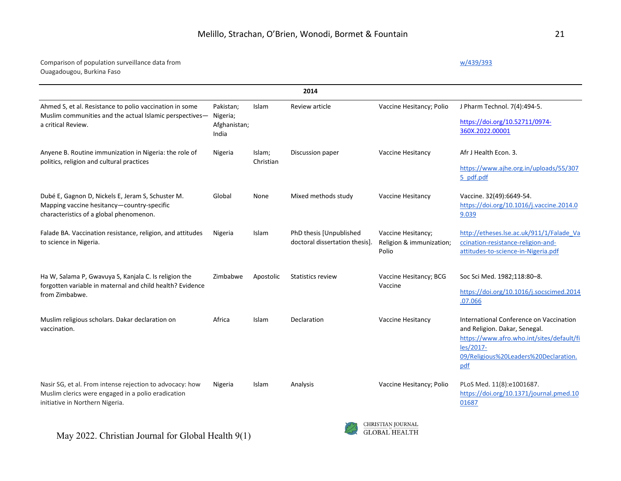## Comparison of population surveillance data from Ouagadougou, Burkina Faso

[w/439/393](https://aps.journals.ac.za/pub/article/view/439/393)

|                                                                                                                                                   |                                                |                     | 2014                                                      |                                                         |                                                                                                                                                                                    |
|---------------------------------------------------------------------------------------------------------------------------------------------------|------------------------------------------------|---------------------|-----------------------------------------------------------|---------------------------------------------------------|------------------------------------------------------------------------------------------------------------------------------------------------------------------------------------|
| Ahmed S, et al. Resistance to polio vaccination in some<br>Muslim communities and the actual Islamic perspectives-<br>a critical Review.          | Pakistan;<br>Nigeria;<br>Afghanistan;<br>India | Islam               | Review article                                            | Vaccine Hesitancy; Polio                                | J Pharm Technol. 7(4):494-5.<br>https://doi.org/10.52711/0974-<br>360X.2022.00001                                                                                                  |
| Anyene B. Routine immunization in Nigeria: the role of<br>politics, religion and cultural practices                                               | Nigeria                                        | Islam;<br>Christian | Discussion paper                                          | Vaccine Hesitancy                                       | Afr J Health Econ. 3.<br>https://www.ajhe.org.in/uploads/55/307<br>5 pdf.pdf                                                                                                       |
| Dubé E, Gagnon D, Nickels E, Jeram S, Schuster M.<br>Mapping vaccine hesitancy-country-specific<br>characteristics of a global phenomenon.        | Global                                         | None                | Mixed methods study                                       | Vaccine Hesitancy                                       | Vaccine. 32(49):6649-54.<br>https://doi.org/10.1016/j.vaccine.2014.0<br>9.039                                                                                                      |
| Falade BA. Vaccination resistance, religion, and attitudes<br>to science in Nigeria.                                                              | Nigeria                                        | Islam               | PhD thesis [Unpublished<br>doctoral dissertation thesis]. | Vaccine Hesitancy;<br>Religion & immunization;<br>Polio | http://etheses.lse.ac.uk/911/1/Falade Va<br>ccination-resistance-religion-and-<br>attitudes-to-science-in-Nigeria.pdf                                                              |
| Ha W, Salama P, Gwavuya S, Kanjala C. Is religion the<br>forgotten variable in maternal and child health? Evidence<br>from Zimbabwe.              | Zimbabwe                                       | Apostolic           | <b>Statistics review</b>                                  | Vaccine Hesitancy; BCG<br>Vaccine                       | Soc Sci Med. 1982;118:80-8.<br>https://doi.org/10.1016/j.socscimed.2014<br>.07.066                                                                                                 |
| Muslim religious scholars. Dakar declaration on<br>vaccination.                                                                                   | Africa                                         | <b>Islam</b>        | Declaration                                               | Vaccine Hesitancy                                       | International Conference on Vaccination<br>and Religion. Dakar, Senegal.<br>https://www.afro.who.int/sites/default/fi<br>les/2017-<br>09/Religious%20Leaders%20Declaration.<br>pdf |
| Nasir SG, et al. From intense rejection to advocacy: how<br>Muslim clerics were engaged in a polio eradication<br>initiative in Northern Nigeria. | Nigeria                                        | Islam               | Analysis                                                  | Vaccine Hesitancy; Polio                                | PLoS Med. 11(8):e1001687.<br>https://doi.org/10.1371/journal.pmed.10<br>01687                                                                                                      |

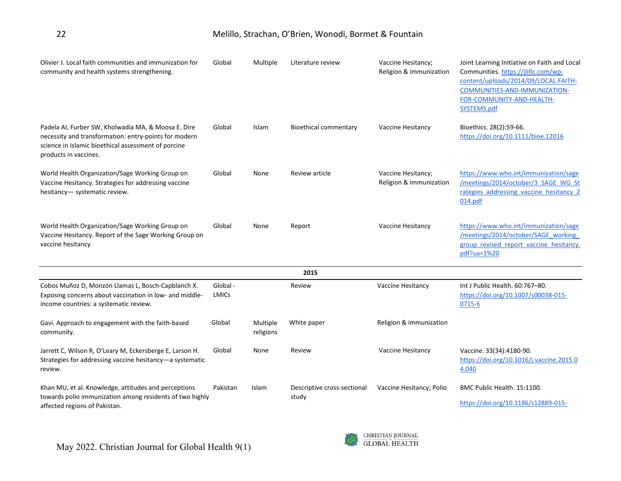| Olivier J. Local faith communities and immunization for<br>community and health systems strengthening.                                                                                       | Global            | Multiple              | Literature review                    | Vaccine Hesitancy;<br>Religion & immunization | Joint Learning Initiative on Faith and Local<br>Communities. https://jliflc.com/wp-<br>content/uploads/2014/09/LOCAL-FAITH-<br>COMMUNITIES-AND-IMMUNIZATION-<br>FOR-COMMUNITY-AND-HEALTH-<br>SYSTEMS.pdf |
|----------------------------------------------------------------------------------------------------------------------------------------------------------------------------------------------|-------------------|-----------------------|--------------------------------------|-----------------------------------------------|----------------------------------------------------------------------------------------------------------------------------------------------------------------------------------------------------------|
| Padela AI, Furber SW, Kholwadia MA, & Moosa E. Dire<br>necessity and transformation: entry-points for modern<br>science in Islamic bioethical assessment of porcine<br>products in vaccines. | Global            | Islam                 | <b>Bioethical commentary</b>         | Vaccine Hesitancy                             | Bioethics. 28(2):59-66.<br>https://doi.org/10.1111/bioe.12016                                                                                                                                            |
| World Health Organization/Sage Working Group on<br>Vaccine Hesitancy. Strategies for addressing vaccine<br>hesitancy- systematic review.                                                     | Global            | None                  | Review article                       | Vaccine Hesitancy;<br>Religion & immunization | https://www.who.int/immunization/sage<br>/meetings/2014/october/3 SAGE WG St<br>rategies addressing vaccine hesitancy 2<br>014.pdf                                                                       |
| World Health Organization/Sage Working Group on<br>Vaccine Hesitancy. Report of the Sage Working Group on<br>vaccine hesitancy                                                               | Global            | None                  | Report                               | Vaccine Hesitancy                             | https://www.who.int/immunization/sage<br>/meetings/2014/october/SAGE working<br>group revised report vaccine hesitancy.<br>pdf?ua=1%20                                                                   |
|                                                                                                                                                                                              |                   |                       | 2015                                 |                                               |                                                                                                                                                                                                          |
| Cobos Muñoz D, Monzón Llamas L, Bosch-Capblanch X.<br>Exposing concerns about vaccination in low- and middle-<br>income countries: a systematic review.                                      | Global -<br>LMICs |                       | Review                               | Vaccine Hesitancy                             | Int J Public Health. 60:767-80.<br>https://doi.org/10.1007/s00038-015-<br>0715-6                                                                                                                         |
| Gavi. Approach to engagement with the faith-based<br>community.                                                                                                                              | Global            | Multiple<br>religions | White paper                          | Religion & immunization                       |                                                                                                                                                                                                          |
| Jarrett C, Wilson R, O'Leary M, Eckersberge E, Larson H.<br>Strategies for addressing vaccine hesitancy-a systematic<br>review.                                                              | Global            | None                  | Review                               | Vaccine Hesitancy                             | Vaccine. 33(34):4180-90.<br>https://doi.org/10.1016/j.vaccine.2015.0<br>4.040                                                                                                                            |
| Khan MU, et al. Knowledge, attitudes and perceptions<br>towards polio immunization among residents of two highly<br>affected regions of Pakistan.                                            | Pakistan          | Islam                 | Descriptive cross-sectional<br>study | Vaccine Hesitancy; Polio                      | BMC Public Health. 15:1100.<br>https://doi.org/10.1186/s12889-015-                                                                                                                                       |

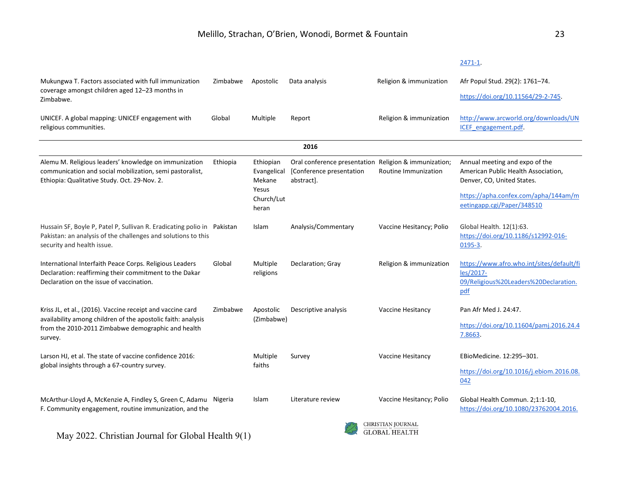Mukungwa T. Factors associated with full immunization Zimbabwe Apostolic Data analysis Religion & immunization Afr Popul Stud. 29(2): 1761–74. coverage amongst children aged 12–23 months in [https://doi.org/10.11564/29-2-745.](https://doi.org/10.11564/29-2-745) Zimbabwe. Global Multiple Report Religion & immunization [http://www.arcworld.org/downloads/UN](http://www.arcworld.org/downloads/UNICEF_engagement.pdf) UNICEF. A global mapping: UNICEF engagement with [ICEF\\_engagement.pdf.](http://www.arcworld.org/downloads/UNICEF_engagement.pdf) religious communities. **2016** Alemu M. Religious leaders' knowledge on immunization Ethiopia Ethiopian Annual meeting and expo of the Oral conference presentation Religion & immunization; American Public Health Association, communication and social mobilization, semi pastoralist, Evangelical [Conference presentation Routine Immunization Ethiopia: Qualitative Study. Oct. 29-Nov. 2. Mekane abstract]. Denver, CO, United States. Yesus [https://apha.confex.com/apha/144am/m](https://apha.confex.com/apha/144am/meetingapp.cgi/Paper/348510) Church/Lut [eetingapp.cgi/Paper/348510](https://apha.confex.com/apha/144am/meetingapp.cgi/Paper/348510)  heran Hussain SF, Boyle P, Patel P, Sullivan R. Eradicating polio in Islam Analysis/Commentary Vaccine Hesitancy; Polio Global Health. 12(1):63. Pakistan: an analysis of the challenges and solutions to this [https://doi.org/10.1186/s12992-016](https://doi.org/10.1186/s12992-016-0195-3) security and health issue. [0195-3.](https://doi.org/10.1186/s12992-016-0195-3)  International Interfaith Peace Corps. Religious Leaders Global Multiple Declaration; Gray Religion & immunization [https://www.afro.who.int/sites/default/fi](https://www.afro.who.int/sites/default/files/2017-09/Religious%20Leaders%20Declaration.pdf) Declaration: reaffirming their commitment to the Dakar religions [les/2017-](https://www.afro.who.int/sites/default/files/2017-09/Religious%20Leaders%20Declaration.pdf) Declaration on the issue of vaccination. [09/Religious%20Leaders%20Declaration.](https://www.afro.who.int/sites/default/files/2017-09/Religious%20Leaders%20Declaration.pdf) [pdf](https://www.afro.who.int/sites/default/files/2017-09/Religious%20Leaders%20Declaration.pdf) Kriss JL, et al., (2016). Vaccine receipt and vaccine card Zimbabwe Apostolic Descriptive analysis Vaccine Hesitancy Pan Afr Med J. 24:47. availability among children of the apostolic faith: analysis (Zimbabwe) [https://doi.org/10.11604/pamj.2016.24.4](https://doi.org/10.11604/pamj.2016.24.47.8663) from the 2010-2011 Zimbabwe demographic and health [7.8663.](https://doi.org/10.11604/pamj.2016.24.47.8663) survey. Larson HJ, et al. The state of vaccine confidence 2016: Multiple Survey Vaccine Hesitancy EBioMedicine. 12:295–301. global insights through a 67-country survey. faiths [https://doi.org/10.1016/j.ebiom.2016.08.](https://doi.org/10.1016/j.ebiom.2016.08.042) [042](https://doi.org/10.1016/j.ebiom.2016.08.042)  McArthur-Lloyd A, McKenzie A, Findley S, Green C, Adamu Islam Literature review Vaccine Hesitancy; Polio Global Health Commun. 2;1:1-10, [https://doi.org/10.1080/23762004.2016.](https://doi.org/10.1080/23762004.2016.1205887)F. Community engagement, routine immunization, and the CHRISTIAN JOURNAL

May 2022. Christian Journal for Global Health 9(1)



[2471-1.](https://doi.org/10.1186/s12889-015-2471-1)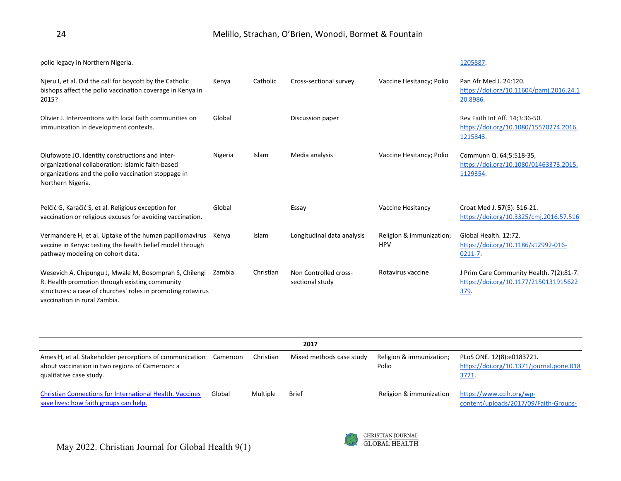| polio legacy in Northern Nigeria.                                                                                                                                                                        |         |           |                                          |                                        | 1205887.                                                                                  |
|----------------------------------------------------------------------------------------------------------------------------------------------------------------------------------------------------------|---------|-----------|------------------------------------------|----------------------------------------|-------------------------------------------------------------------------------------------|
| Nieru I, et al. Did the call for boycott by the Catholic<br>bishops affect the polio vaccination coverage in Kenya in<br>2015?                                                                           | Kenya   | Catholic  | Cross-sectional survey                   | Vaccine Hesitancy; Polio               | Pan Afr Med J. 24:120.<br>https://doi.org/10.11604/pamj.2016.24.1<br>20.8986.             |
| Olivier J. Interventions with local faith communities on<br>immunization in development contexts.                                                                                                        | Global  |           | Discussion paper                         |                                        | Rev Faith Int Aff. 14;3:36-50.<br>https://doi.org/10.1080/15570274.2016.<br>1215843.      |
| Olufowote JO. Identity constructions and inter-<br>organizational collaboration: Islamic faith-based<br>organizations and the polio vaccination stoppage in<br>Northern Nigeria.                         | Nigeria | Islam     | Media analysis                           | Vaccine Hesitancy; Polio               | Communn Q. 64;5:518-35,<br>https://doi.org/10.1080/01463373.2015.<br>1129354.             |
| Pelčić G, Karačić S, et al. Religious exception for<br>vaccination or religious excuses for avoiding vaccination.                                                                                        | Global  |           | Essay                                    | Vaccine Hesitancy                      | Croat Med J. 57(5): 516-21.<br>https://doi.org/10.3325/cmj.2016.57.516                    |
| Vermandere H, et al. Uptake of the human papillomavirus<br>vaccine in Kenya: testing the health belief model through<br>pathway modeling on cohort data.                                                 | Kenya   | Islam     | Longitudinal data analysis               | Religion & immunization;<br><b>HPV</b> | Global Health, 12:72.<br>https://doi.org/10.1186/s12992-016-<br>$0211 - 7.$               |
| Wesevich A, Chipungu J, Mwale M, Bosomprah S, Chilengi<br>R. Health promotion through existing community<br>structures: a case of churches' roles in promoting rotavirus<br>vaccination in rural Zambia. | Zambia  | Christian | Non Controlled cross-<br>sectional study | Rotavirus vaccine                      | J Prim Care Community Health. 7(2):81-7.<br>https://doi.org/10.1177/2150131915622<br>379. |

| 2017                                                                                                                                  |          |           |                          |                                   |                                                                                |  |
|---------------------------------------------------------------------------------------------------------------------------------------|----------|-----------|--------------------------|-----------------------------------|--------------------------------------------------------------------------------|--|
| Ames H, et al. Stakeholder perceptions of communication<br>about vaccination in two regions of Cameroon: a<br>qualitative case study. | Cameroon | Christian | Mixed methods case study | Religion & immunization;<br>Polio | PLoS ONE. 12(8):e0183721.<br>https://doi.org/10.1371/journal.pone.018<br>3721. |  |
| <b>Christian Connections for International Health. Vaccines</b><br>save lives: how faith groups can help.                             | Global   | Multiple  | Brief                    | Religion & immunization           | https://www.ccih.org/wp-<br>content/uploads/2017/09/Faith-Groups-              |  |

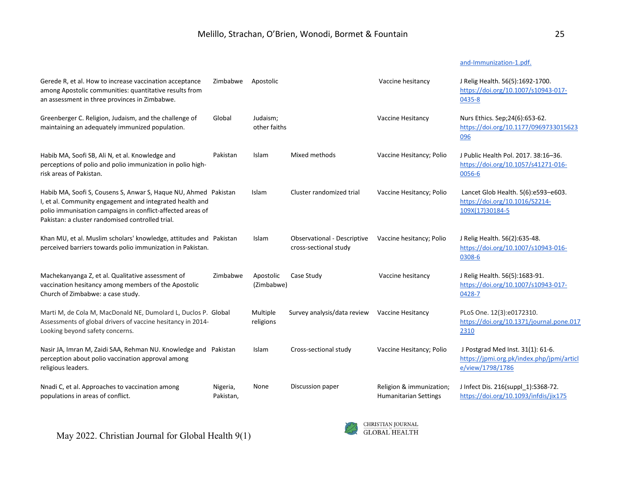# [and-Immunization-1.pdf.](https://www.ccih.org/wp-content/uploads/2017/09/Faith-Groups-and-Immunization-1.pdf.)

| Gerede R, et al. How to increase vaccination acceptance<br>among Apostolic communities: quantitative results from<br>an assessment in three provinces in Zimbabwe.                                                                            | Zimbabwe              | Apostolic                |                                                             | Vaccine hesitancy                                        | J Relig Health. 56(5):1692-1700.<br>https://doi.org/10.1007/s10943-017-<br>0435-8                  |
|-----------------------------------------------------------------------------------------------------------------------------------------------------------------------------------------------------------------------------------------------|-----------------------|--------------------------|-------------------------------------------------------------|----------------------------------------------------------|----------------------------------------------------------------------------------------------------|
| Greenberger C. Religion, Judaism, and the challenge of<br>maintaining an adequately immunized population.                                                                                                                                     | Global                | Judaism;<br>other faiths |                                                             | Vaccine Hesitancy                                        | Nurs Ethics. Sep; 24(6): 653-62.<br>https://doi.org/10.1177/0969733015623<br>096                   |
| Habib MA, Soofi SB, Ali N, et al. Knowledge and<br>perceptions of polio and polio immunization in polio high-<br>risk areas of Pakistan.                                                                                                      | Pakistan              | Islam                    | Mixed methods                                               | Vaccine Hesitancy; Polio                                 | J Public Health Pol. 2017. 38:16-36.<br>https://doi.org/10.1057/s41271-016-<br>0056-6              |
| Habib MA, Soofi S, Cousens S, Anwar S, Haque NU, Ahmed Pakistan<br>I, et al. Community engagement and integrated health and<br>polio immunisation campaigns in conflict-affected areas of<br>Pakistan: a cluster randomised controlled trial. |                       | Islam                    | Cluster randomized trial                                    | Vaccine Hesitancy; Polio                                 | Lancet Glob Health. 5(6):e593-e603.<br>https://doi.org/10.1016/S2214-<br>109X(17)30184-5           |
| Khan MU, et al. Muslim scholars' knowledge, attitudes and Pakistan<br>perceived barriers towards polio immunization in Pakistan.                                                                                                              |                       | Islam                    | <b>Observational - Descriptive</b><br>cross-sectional study | Vaccine hesitancy; Polio                                 | J Relig Health. 56(2):635-48.<br>https://doi.org/10.1007/s10943-016-<br>0308-6                     |
| Machekanyanga Z, et al. Qualitative assessment of<br>vaccination hesitancy among members of the Apostolic<br>Church of Zimbabwe: a case study.                                                                                                | Zimbabwe              | Apostolic<br>(Zimbabwe)  | Case Study                                                  | Vaccine hesitancy                                        | J Relig Health. 56(5):1683-91.<br>https://doi.org/10.1007/s10943-017-<br>0428-7                    |
| Marti M, de Cola M, MacDonald NE, Dumolard L, Duclos P. Global<br>Assessments of global drivers of vaccine hesitancy in 2014-<br>Looking beyond safety concerns.                                                                              |                       | Multiple<br>religions    | Survey analysis/data review                                 | Vaccine Hesitancy                                        | PLoS One. 12(3):e0172310.<br>https://doi.org/10.1371/journal.pone.017<br>2310                      |
| Nasir JA, Imran M, Zaidi SAA, Rehman NU. Knowledge and Pakistan<br>perception about polio vaccination approval among<br>religious leaders.                                                                                                    |                       | Islam                    | Cross-sectional study                                       | Vaccine Hesitancy; Polio                                 | J Postgrad Med Inst. 31(1): 61-6.<br>https://jpmi.org.pk/index.php/jpmi/articl<br>e/view/1798/1786 |
| Nnadi C, et al. Approaches to vaccination among<br>populations in areas of conflict.                                                                                                                                                          | Nigeria,<br>Pakistan, | None                     | Discussion paper                                            | Religion & immunization;<br><b>Humanitarian Settings</b> | J Infect Dis. 216(suppl 1):S368-72.<br>https://doi.org/10.1093/infdis/jix175                       |

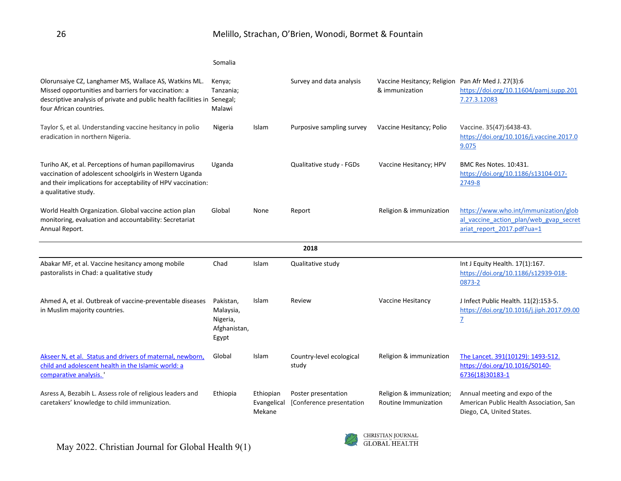|                                                                                                                                                                                                                      | Somalia                                                     |                                    |                                                 |                                                                      |                                                                                                               |
|----------------------------------------------------------------------------------------------------------------------------------------------------------------------------------------------------------------------|-------------------------------------------------------------|------------------------------------|-------------------------------------------------|----------------------------------------------------------------------|---------------------------------------------------------------------------------------------------------------|
| Olorunsaiye CZ, Langhamer MS, Wallace AS, Watkins ML.<br>Missed opportunities and barriers for vaccination: a<br>descriptive analysis of private and public health facilities in Senegal;<br>four African countries. | Kenya;<br>Tanzania;<br>Malawi                               |                                    | Survey and data analysis                        | Vaccine Hesitancy; Religion Pan Afr Med J. 27(3):6<br>& immunization | https://doi.org/10.11604/pamj.supp.201<br>7.27.3.12083                                                        |
| Taylor S, et al. Understanding vaccine hesitancy in polio<br>eradication in northern Nigeria.                                                                                                                        | Nigeria                                                     | Islam                              | Purposive sampling survey                       | Vaccine Hesitancy; Polio                                             | Vaccine. 35(47):6438-43.<br>https://doi.org/10.1016/j.vaccine.2017.0<br>9.075                                 |
| Turiho AK, et al. Perceptions of human papillomavirus<br>vaccination of adolescent schoolgirls in Western Uganda<br>and their implications for acceptability of HPV vaccination:<br>a qualitative study.             | Uganda                                                      |                                    | Qualitative study - FGDs                        | Vaccine Hesitancy; HPV                                               | <b>BMC Res Notes, 10:431.</b><br>https://doi.org/10.1186/s13104-017-<br>2749-8                                |
| World Health Organization. Global vaccine action plan<br>monitoring, evaluation and accountability: Secretariat<br>Annual Report.                                                                                    | Global                                                      | None                               | Report                                          | Religion & immunization                                              | https://www.who.int/immunization/glob<br>al vaccine action plan/web gvap secret<br>ariat report 2017.pdf?ua=1 |
|                                                                                                                                                                                                                      |                                                             |                                    | 2018                                            |                                                                      |                                                                                                               |
| Abakar MF, et al. Vaccine hesitancy among mobile<br>pastoralists in Chad: a qualitative study                                                                                                                        | Chad                                                        | Islam                              | Qualitative study                               |                                                                      | Int J Equity Health. 17(1):167.<br>https://doi.org/10.1186/s12939-018-<br>0873-2                              |
| Ahmed A, et al. Outbreak of vaccine-preventable diseases<br>in Muslim majority countries.                                                                                                                            | Pakistan,<br>Malaysia,<br>Nigeria,<br>Afghanistan,<br>Egypt | Islam                              | Review                                          | Vaccine Hesitancy                                                    | J Infect Public Health. 11(2):153-5.<br>https://doi.org/10.1016/j.jiph.2017.09.00<br>$\overline{Z}$           |
| Akseer N, et al. Status and drivers of maternal, newborn,<br>child and adolescent health in the Islamic world: a<br>comparative analysis.                                                                            | Global                                                      | <b>Islam</b>                       | Country-level ecological<br>study               | Religion & immunization                                              | The Lancet. 391(10129): 1493-512.<br>https://doi.org/10.1016/S0140-<br>6736(18)30183-1                        |
| Asress A, Bezabih L. Assess role of religious leaders and<br>caretakers' knowledge to child immunization.                                                                                                            | Ethiopia                                                    | Ethiopian<br>Evangelical<br>Mekane | Poster presentation<br>[Conference presentation | Religion & immunization;<br>Routine Immunization                     | Annual meeting and expo of the<br>American Public Health Association, San<br>Diego, CA, United States.        |

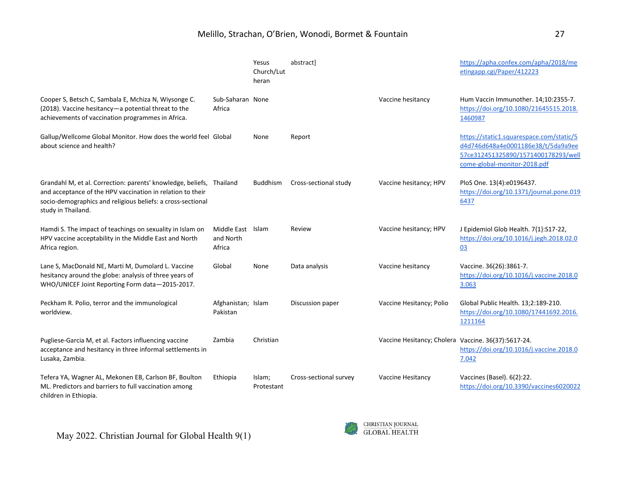# Melillo, Strachan, O'Brien, Wonodi, Bormet & Fountain 27

|                                                                                                                                                                                                                         |                                          | Yesus<br>Church/Lut<br>heran | abstract]              |                                                     | https://apha.confex.com/apha/2018/me<br>etingapp.cgi/Paper/412223                                                                                     |
|-------------------------------------------------------------------------------------------------------------------------------------------------------------------------------------------------------------------------|------------------------------------------|------------------------------|------------------------|-----------------------------------------------------|-------------------------------------------------------------------------------------------------------------------------------------------------------|
| Cooper S, Betsch C, Sambala E, Mchiza N, Wiysonge C.<br>(2018). Vaccine hesitancy-a potential threat to the<br>achievements of vaccination programmes in Africa.                                                        | Sub-Saharan None<br>Africa               |                              |                        | Vaccine hesitancy                                   | Hum Vaccin Immunother. 14;10:2355-7.<br>https://doi.org/10.1080/21645515.2018.<br>1460987                                                             |
| Gallup/Wellcome Global Monitor. How does the world feel Global<br>about science and health?                                                                                                                             |                                          | None                         | Report                 |                                                     | https://static1.squarespace.com/static/5<br>d4d746d648a4e0001186e38/t/5da9a9ee<br>57ce312451325890/1571400178293/well<br>come-global-monitor-2018.pdf |
| Grandahl M, et al. Correction: parents' knowledge, beliefs, Thailand<br>and acceptance of the HPV vaccination in relation to their<br>socio-demographics and religious beliefs: a cross-sectional<br>study in Thailand. |                                          | <b>Buddhism</b>              | Cross-sectional study  | Vaccine hesitancy; HPV                              | PloS One. 13(4):e0196437.<br>https://doi.org/10.1371/journal.pone.019<br>6437                                                                         |
| Hamdi S. The impact of teachings on sexuality in Islam on<br>HPV vaccine acceptability in the Middle East and North<br>Africa region.                                                                                   | Middle East Islam<br>and North<br>Africa |                              | Review                 | Vaccine hesitancy; HPV                              | J Epidemiol Glob Health. 7{1}:S17-22,<br>https://doi.org/10.1016/j.jegh.2018.02.0<br>03                                                               |
| Lane S, MacDonald NE, Marti M, Dumolard L. Vaccine<br>hesitancy around the globe: analysis of three years of<br>WHO/UNICEF Joint Reporting Form data-2015-2017.                                                         | Global                                   | None                         | Data analysis          | Vaccine hesitancy                                   | Vaccine. 36(26):3861-7.<br>https://doi.org/10.1016/j.vaccine.2018.0<br>3.063                                                                          |
| Peckham R. Polio, terror and the immunological<br>worldview.                                                                                                                                                            | Afghanistan; Islam<br>Pakistan           |                              | Discussion paper       | Vaccine Hesitancy; Polio                            | Global Public Health. 13;2:189-210.<br>https://doi.org/10.1080/17441692.2016.<br>1211164                                                              |
| Pugliese-Garcia M, et al. Factors influencing vaccine<br>acceptance and hesitancy in three informal settlements in<br>Lusaka, Zambia.                                                                                   | Zambia                                   | Christian                    |                        | Vaccine Hesitancy; Cholera Vaccine. 36(37):5617-24. | https://doi.org/10.1016/j.vaccine.2018.0<br>7.042                                                                                                     |
| Tefera YA, Wagner AL, Mekonen EB, Carlson BF, Boulton<br>ML. Predictors and barriers to full vaccination among<br>children in Ethiopia.                                                                                 | Ethiopia                                 | Islam;<br>Protestant         | Cross-sectional survey | Vaccine Hesitancy                                   | Vaccines (Basel). 6(2):22.<br>https://doi.org/10.3390/vaccines6020022                                                                                 |

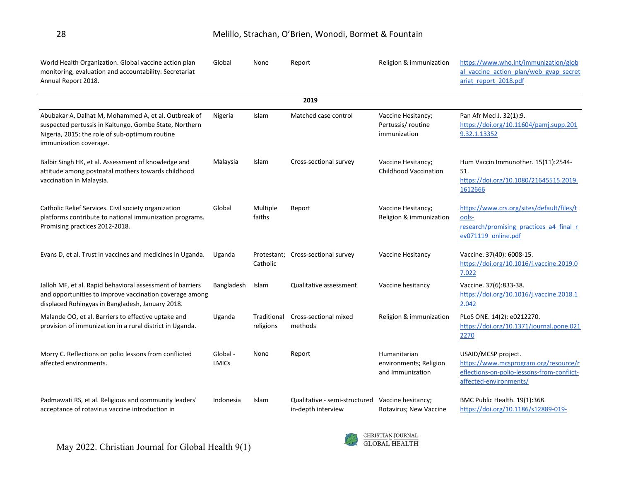| World Health Organization. Global vaccine action plan<br>monitoring, evaluation and accountability: Secretariat<br>Annual Report 2018.                                                     | Global                   | None                     | Report                                              | Religion & immunization                                    | https://www.who.int/immunization/glob<br>al vaccine action plan/web gvap secret<br>ariat report 2018.pdf                             |
|--------------------------------------------------------------------------------------------------------------------------------------------------------------------------------------------|--------------------------|--------------------------|-----------------------------------------------------|------------------------------------------------------------|--------------------------------------------------------------------------------------------------------------------------------------|
|                                                                                                                                                                                            |                          |                          | 2019                                                |                                                            |                                                                                                                                      |
| Abubakar A, Dalhat M, Mohammed A, et al. Outbreak of<br>suspected pertussis in Kaltungo, Gombe State, Northern<br>Nigeria, 2015: the role of sub-optimum routine<br>immunization coverage. | Nigeria                  | Islam                    | Matched case control                                | Vaccine Hesitancy;<br>Pertussis/routine<br>immunization    | Pan Afr Med J. 32(1):9.<br>https://doi.org/10.11604/pamj.supp.201<br>9.32.1.13352                                                    |
| Balbir Singh HK, et al. Assessment of knowledge and<br>attitude among postnatal mothers towards childhood<br>vaccination in Malaysia.                                                      | Malaysia                 | Islam                    | Cross-sectional survey                              | Vaccine Hesitancy;<br><b>Childhood Vaccination</b>         | Hum Vaccin Immunother. 15(11):2544-<br>51.<br>https://doi.org/10.1080/21645515.2019.<br>1612666                                      |
| Catholic Relief Services. Civil society organization<br>platforms contribute to national immunization programs.<br>Promising practices 2012-2018.                                          | Global                   | Multiple<br>faiths       | Report                                              | Vaccine Hesitancy;<br>Religion & immunization              | https://www.crs.org/sites/default/files/t<br>ools-<br>research/promising practices a4 final r<br>ev071119 online.pdf                 |
| Evans D, et al. Trust in vaccines and medicines in Uganda.                                                                                                                                 | Uganda                   | Catholic                 | Protestant; Cross-sectional survey                  | Vaccine Hesitancy                                          | Vaccine. 37(40): 6008-15.<br>https://doi.org/10.1016/j.vaccine.2019.0<br>7.022                                                       |
| Jalloh MF, et al. Rapid behavioral assessment of barriers<br>and opportunities to improve vaccination coverage among<br>displaced Rohingyas in Bangladesh, January 2018.                   | Bangladesh               | Islam                    | Qualitative assessment                              | Vaccine hesitancy                                          | Vaccine. 37(6):833-38.<br>https://doi.org/10.1016/j.vaccine.2018.1<br>2.042                                                          |
| Malande OO, et al. Barriers to effective uptake and<br>provision of immunization in a rural district in Uganda.                                                                            | Uganda                   | Traditional<br>religions | Cross-sectional mixed<br>methods                    | Religion & immunization                                    | PLoS ONE. 14(2): e0212270.<br>https://doi.org/10.1371/journal.pone.021<br>2270                                                       |
| Morry C. Reflections on polio lessons from conflicted<br>affected environments.                                                                                                            | Global -<br><b>LMICs</b> | None                     | Report                                              | Humanitarian<br>environments; Religion<br>and Immunization | USAID/MCSP project.<br>https://www.mcsprogram.org/resource/r<br>eflections-on-polio-lessons-from-conflict-<br>affected-environments/ |
| Padmawati RS, et al. Religious and community leaders'<br>acceptance of rotavirus vaccine introduction in                                                                                   | Indonesia                | Islam                    | Qualitative - semi-structured<br>in-depth interview | Vaccine hesitancy;<br>Rotavirus; New Vaccine               | BMC Public Health. 19(1):368.<br>https://doi.org/10.1186/s12889-019-                                                                 |

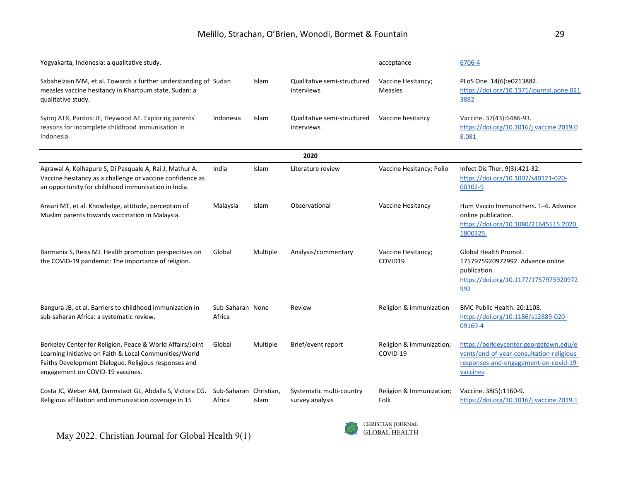| Yogyakarta, Indonesia: a qualitative study.                                                                                                                                                                     |                                  |              |                                             | acceptance                           | 6706-4                                                                                                                                   |
|-----------------------------------------------------------------------------------------------------------------------------------------------------------------------------------------------------------------|----------------------------------|--------------|---------------------------------------------|--------------------------------------|------------------------------------------------------------------------------------------------------------------------------------------|
| Sabahelzain MM, et al. Towards a further understanding of Sudan<br>measles vaccine hesitancy in Khartoum state, Sudan: a<br>qualitative study.                                                                  |                                  | Islam        | Qualitative semi-structured<br>interviews   | Vaccine Hesitancy;<br><b>Measles</b> | PLoS One. 14(6):e0213882.<br>https://doi.org/10.1371/journal.pone.021<br>3882                                                            |
| Syiroj ATR, Pardosi JF, Heywood AE. Exploring parents'<br>reasons for incomplete childhood immunisation in<br>Indonesia.                                                                                        | Indonesia                        | <b>Islam</b> | Qualitative semi-structured<br>interviews   | Vaccine hesitancy                    | Vaccine. 37(43):6486-93.<br>https://doi.org/10.1016/j.vaccine.2019.0<br>8.081                                                            |
|                                                                                                                                                                                                                 |                                  |              | 2020                                        |                                      |                                                                                                                                          |
| Agrawal A, Kolhapure S, Di Pasquale A, Rai J, Mathur A.<br>Vaccine hesitancy as a challenge or vaccine confidence as<br>an opportunity for childhood immunisation in India.                                     | India                            | Islam        | Literature review                           | Vaccine Hesitancy; Polio             | Infect Dis Ther. 9(3):421-32.<br>https://doi.org/10.1007/s40121-020-<br>00302-9                                                          |
| Ansari MT, et al. Knowledge, attitude, perception of<br>Muslim parents towards vaccination in Malaysia.                                                                                                         | Malaysia                         | Islam        | Observational                               | Vaccine Hesitancy                    | Hum Vaccin Immunothers. 1-6. Advance<br>online publication.<br>https://doi.org/10.1080/21645515.2020.<br>1800325.                        |
| Barmania S, Reiss MJ. Health promotion perspectives on<br>the COVID-19 pandemic: The importance of religion.                                                                                                    | Global                           | Multiple     | Analysis/commentary                         | Vaccine Hesitancy;<br>COVID19        | Global Health Promot.<br>1757975920972992. Advance online<br>publication.<br>https://doi.org/10.1177/1757975920972<br>992                |
| Bangura JB, et al. Barriers to childhood immunization in<br>sub-saharan Africa: a systematic review.                                                                                                            | Sub-Saharan None<br>Africa       |              | Review                                      | Religion & immunization              | BMC Public Health, 20:1108.<br>https://doi.org/10.1186/s12889-020-<br>09169-4                                                            |
| Berkeley Center for Religion, Peace & World Affairs/Joint<br>Learning Initiative on Faith & Local Communities/World<br>Faiths Development Dialogue. Religious responses and<br>engagement on COVID-19 vaccines. | Global                           | Multiple     | Brief/event report                          | Religion & immunization;<br>COVID-19 | https://berkleycenter.georgetown.edu/e<br>vents/end-of-year-consultation-religious-<br>responses-and-engagement-on-covid-19-<br>vaccines |
| Costa JC, Weber AM, Darmstadt GL, Abdalla S, Victora CG.<br>Religious affiliation and immunization coverage in 15                                                                                               | Sub-Saharan Christian,<br>Africa | Islam        | Systematic multi-country<br>survey analysis | Religion & Immunization;<br>Folk     | Vaccine. 38(5):1160-9.<br>https://doi.org/10.1016/j.vaccine.2019.1                                                                       |

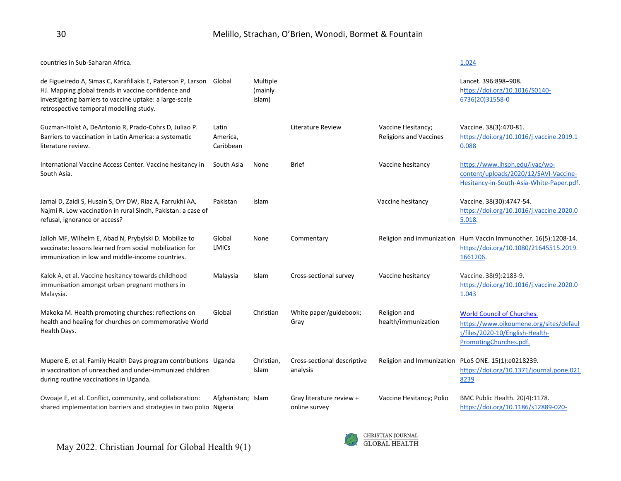| countries in Sub-Saharan Africa.                                                                                                                                                                                          |                                |                               |                                           |                                                     | 1.024                                                                                                                                    |
|---------------------------------------------------------------------------------------------------------------------------------------------------------------------------------------------------------------------------|--------------------------------|-------------------------------|-------------------------------------------|-----------------------------------------------------|------------------------------------------------------------------------------------------------------------------------------------------|
| de Figueiredo A, Simas C, Karafillakis E, Paterson P, Larson<br>HJ. Mapping global trends in vaccine confidence and<br>investigating barriers to vaccine uptake: a large-scale<br>retrospective temporal modelling study. | Global                         | Multiple<br>(mainly<br>Islam) |                                           |                                                     | Lancet. 396:898-908.<br>https://doi.org/10.1016/S0140-<br>6736(20)31558-0                                                                |
| Guzman-Holst A, DeAntonio R, Prado-Cohrs D, Juliao P.<br>Barriers to vaccination in Latin America: a systematic<br>literature review.                                                                                     | Latin<br>America,<br>Caribbean |                               | Literature Review                         | Vaccine Hesitancy;<br><b>Religions and Vaccines</b> | Vaccine. 38(3):470-81.<br>https://doi.org/10.1016/j.vaccine.2019.1<br>0.088                                                              |
| International Vaccine Access Center. Vaccine hesitancy in<br>South Asia.                                                                                                                                                  | South Asia                     | None                          | <b>Brief</b>                              | Vaccine hesitancy                                   | https://www.jhsph.edu/ivac/wp-<br>content/uploads/2020/12/SAVI-Vaccine-<br>Hesitancy-in-South-Asia-White-Paper.pdf.                      |
| Jamal D, Zaidi S, Husain S, Orr DW, Riaz A, Farrukhi AA,<br>Najmi R. Low vaccination in rural Sindh, Pakistan: a case of<br>refusal, ignorance or access?                                                                 | Pakistan                       | Islam                         |                                           | Vaccine hesitancy                                   | Vaccine. 38(30):4747-54.<br>https://doi.org/10.1016/j.vaccine.2020.0<br>5.018.                                                           |
| Jalloh MF, Wilhelm E, Abad N, Prybylski D. Mobilize to<br>vaccinate: lessons learned from social mobilization for<br>immunization in low and middle-income countries.                                                     | Global<br><b>LMICs</b>         | None                          | Commentary                                |                                                     | Religion and immunization Hum Vaccin Immunother. 16(5):1208-14.<br>https://doi.org/10.1080/21645515.2019.<br>1661206.                    |
| Kalok A, et al. Vaccine hesitancy towards childhood<br>immunisation amongst urban pregnant mothers in<br>Malaysia.                                                                                                        | Malaysia                       | <b>Islam</b>                  | Cross-sectional survey                    | Vaccine hesitancy                                   | Vaccine. 38(9):2183-9.<br>https://doi.org/10.1016/j.vaccine.2020.0<br>1.043                                                              |
| Makoka M. Health promoting churches: reflections on<br>health and healing for churches on commemorative World<br>Health Days.                                                                                             | Global                         | Christian                     | White paper/guidebook;<br>Gray            | Religion and<br>health/immunization                 | <b>World Council of Churches.</b><br>https://www.oikoumene.org/sites/defaul<br>t/files/2020-10/English-Health-<br>PromotingChurches.pdf. |
| Mupere E, et al. Family Health Days program contributions Uganda<br>in vaccination of unreached and under-immunized children<br>during routine vaccinations in Uganda.                                                    |                                | Christian,<br>Islam           | Cross-sectional descriptive<br>analysis   | Religion and Immunization                           | PLoS ONE. 15(1):e0218239.<br>https://doi.org/10.1371/journal.pone.021<br>8239                                                            |
| Owoaje E, et al. Conflict, community, and collaboration:<br>shared implementation barriers and strategies in two polio Nigeria                                                                                            | Afghanistan; Islam             |                               | Gray literature review +<br>online survey | Vaccine Hesitancy; Polio                            | BMC Public Health. 20(4):1178.<br>https://doi.org/10.1186/s12889-020-                                                                    |

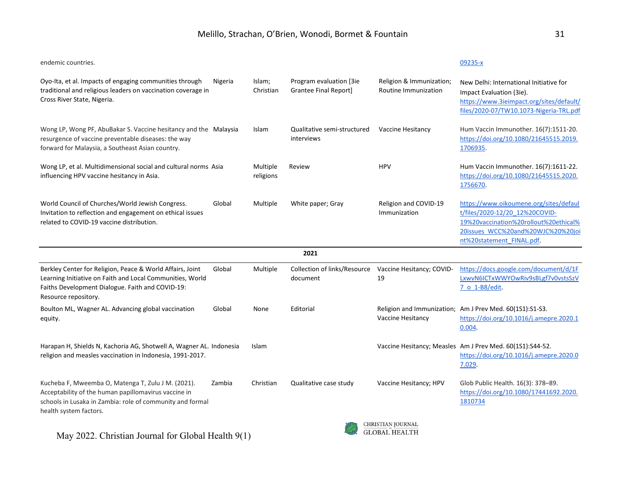endemic countries. [09235-x](https://doi.org/10.1186/s12889-020-09235-x)

| Oyo-Ita, et al. Impacts of engaging communities through<br>traditional and religious leaders on vaccination coverage in<br>Cross River State, Nigeria.                                             | Nigeria | Islam;<br>Christian   | Program evaluation [3ie<br><b>Grantee Final Report]</b> | Religion & Immunization;<br>Routine Immunization | New Delhi: International Initiative for<br>Impact Evaluation (3ie).<br>https://www.3ieimpact.org/sites/default/<br>files/2020-07/TW10.1073-Nigeria-TRL.pdf                          |
|----------------------------------------------------------------------------------------------------------------------------------------------------------------------------------------------------|---------|-----------------------|---------------------------------------------------------|--------------------------------------------------|-------------------------------------------------------------------------------------------------------------------------------------------------------------------------------------|
| Wong LP, Wong PF, AbuBakar S. Vaccine hesitancy and the Malaysia<br>resurgence of vaccine preventable diseases: the way<br>forward for Malaysia, a Southeast Asian country.                        |         | Islam                 | Qualitative semi-structured<br>interviews               | Vaccine Hesitancy                                | Hum Vaccin Immunother. 16(7):1511-20.<br>https://doi.org/10.1080/21645515.2019.<br>1706935.                                                                                         |
| Wong LP, et al. Multidimensional social and cultural norms Asia<br>influencing HPV vaccine hesitancy in Asia.                                                                                      |         | Multiple<br>religions | Review                                                  | <b>HPV</b>                                       | Hum Vaccin Immunother. 16(7):1611-22.<br>https://doi.org/10.1080/21645515.2020.<br>1756670.                                                                                         |
| World Council of Churches/World Jewish Congress.<br>Invitation to reflection and engagement on ethical issues<br>related to COVID-19 vaccine distribution.                                         | Global  | Multiple              | White paper; Gray                                       | Religion and COVID-19<br>Immunization            | https://www.oikoumene.org/sites/defaul<br>t/files/2020-12/20 12%20COVID-<br>19%20vaccination%20rollout%20ethical%<br>20issues WCC%20and%20WJC%20%20joi<br>nt%20statement FINAL.pdf. |
|                                                                                                                                                                                                    |         |                       | 2021                                                    |                                                  |                                                                                                                                                                                     |
| Berkley Center for Religion, Peace & World Affairs, Joint<br>Learning Initiative on Faith and Local Communities, World<br>Faiths Development Dialogue. Faith and COVID-19:<br>Resource repository. | Global  | Multiple              | Collection of links/Resource<br>document                | Vaccine Hesitancy; COVID-<br>19                  | https://docs.google.com/document/d/1F<br>LxwvN6ICTxWWYOwRiv9sBLgf7v0vstsSzV<br>7 o 1-B8/edit.                                                                                       |
| Boulton ML, Wagner AL. Advancing global vaccination<br>equity.                                                                                                                                     | Global  | None                  | Editorial                                               | Vaccine Hesitancy                                | Religion and Immunization; Am J Prev Med. 60(1S1):S1-S3.<br>https://doi.org/10.1016/j.amepre.2020.1<br>0.004.                                                                       |
| Harapan H, Shields N, Kachoria AG, Shotwell A, Wagner AL. Indonesia<br>religion and measles vaccination in Indonesia, 1991-2017.                                                                   |         | Islam                 |                                                         |                                                  | Vaccine Hesitancy; Measles Am J Prev Med. 60(1S1):S44-52.<br>https://doi.org/10.1016/j.amepre.2020.0<br>7.029.                                                                      |
| Kucheba F, Mweemba O, Matenga T, Zulu J M. (2021).<br>Acceptability of the human papillomavirus vaccine in<br>schools in Lusaka in Zambia: role of community and formal<br>health system factors.  | Zambia  | Christian             | Qualitative case study                                  | Vaccine Hesitancy; HPV                           | Glob Public Health. 16(3): 378-89.<br>https://doi.org/10.1080/17441692.2020.<br>1810734                                                                                             |